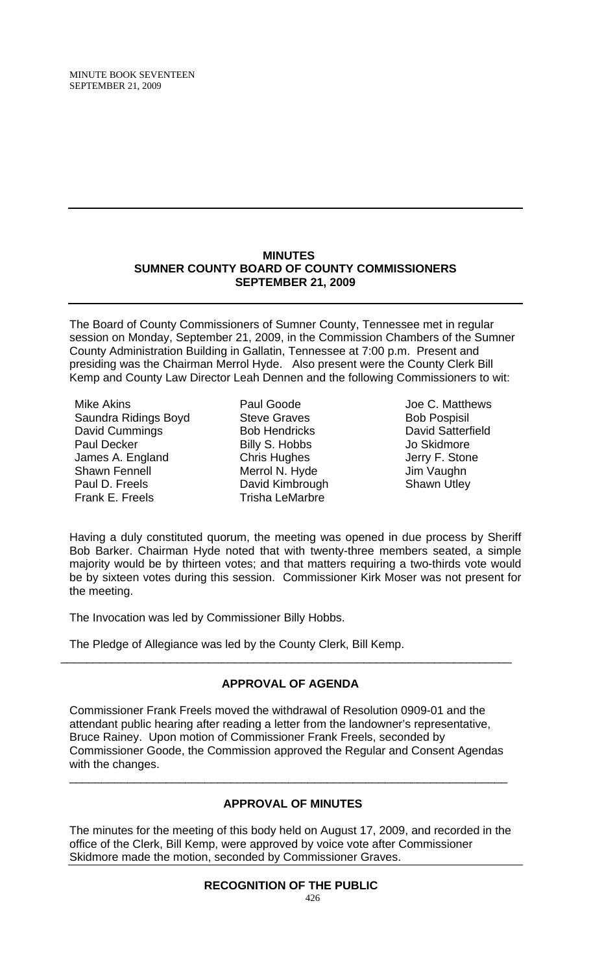# **MINUTES SUMNER COUNTY BOARD OF COUNTY COMMISSIONERS SEPTEMBER 21, 2009**

The Board of County Commissioners of Sumner County, Tennessee met in regular session on Monday, September 21, 2009, in the Commission Chambers of the Sumner County Administration Building in Gallatin, Tennessee at 7:00 p.m. Present and presiding was the Chairman Merrol Hyde. Also present were the County Clerk Bill Kemp and County Law Director Leah Dennen and the following Commissioners to wit:

Mike Akins Saundra Ridings Boyd David Cummings Paul Decker James A. England Shawn Fennell Paul D. Freels Frank E. Freels

- Paul Goode Steve Graves Bob Hendricks Billy S. Hobbs Chris Hughes Merrol N. Hyde David Kimbrough Trisha LeMarbre
- Joe C. Matthews Bob Pospisil David Satterfield Jo Skidmore Jerry F. Stone Jim Vaughn Shawn Utley

Having a duly constituted quorum, the meeting was opened in due process by Sheriff Bob Barker. Chairman Hyde noted that with twenty-three members seated, a simple majority would be by thirteen votes; and that matters requiring a two-thirds vote would be by sixteen votes during this session. Commissioner Kirk Moser was not present for the meeting.

The Invocation was led by Commissioner Billy Hobbs.

The Pledge of Allegiance was led by the County Clerk, Bill Kemp.

# **APPROVAL OF AGENDA**

\_\_\_\_\_\_\_\_\_\_\_\_\_\_\_\_\_\_\_\_\_\_\_\_\_\_\_\_\_\_\_\_\_\_\_\_\_\_\_\_\_\_\_\_\_\_\_\_\_\_\_\_\_\_\_\_\_\_\_\_\_\_\_\_\_\_\_\_\_\_

Commissioner Frank Freels moved the withdrawal of Resolution 0909-01 and the attendant public hearing after reading a letter from the landowner's representative, Bruce Rainey. Upon motion of Commissioner Frank Freels, seconded by Commissioner Goode, the Commission approved the Regular and Consent Agendas with the changes.

# **APPROVAL OF MINUTES**

\_\_\_\_\_\_\_\_\_\_\_\_\_\_\_\_\_\_\_\_\_\_\_\_\_\_\_\_\_\_\_\_\_\_\_\_\_\_\_\_\_\_\_\_\_\_\_\_\_\_\_\_\_\_\_\_\_\_\_\_\_\_\_\_\_\_\_\_

The minutes for the meeting of this body held on August 17, 2009, and recorded in the office of the Clerk, Bill Kemp, were approved by voice vote after Commissioner Skidmore made the motion, seconded by Commissioner Graves.

# **RECOGNITION OF THE PUBLIC**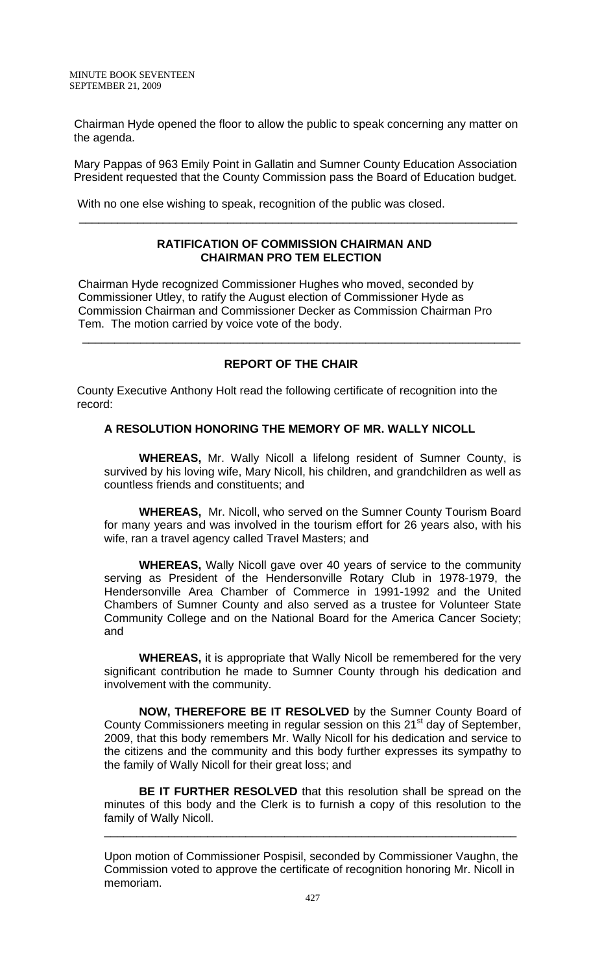Chairman Hyde opened the floor to allow the public to speak concerning any matter on the agenda.

Mary Pappas of 963 Emily Point in Gallatin and Sumner County Education Association President requested that the County Commission pass the Board of Education budget.

With no one else wishing to speak, recognition of the public was closed.

#### **RATIFICATION OF COMMISSION CHAIRMAN AND CHAIRMAN PRO TEM ELECTION**

 $\overline{\phantom{a}}$  , and the contribution of the contribution of the contribution of the contribution of the contribution of the contribution of the contribution of the contribution of the contribution of the contribution of the

Chairman Hyde recognized Commissioner Hughes who moved, seconded by Commissioner Utley, to ratify the August election of Commissioner Hyde as Commission Chairman and Commissioner Decker as Commission Chairman Pro Tem. The motion carried by voice vote of the body.

# **REPORT OF THE CHAIR**

 $\overline{\phantom{a}}$  , and the contribution of the contribution of the contribution of the contribution of the contribution of  $\overline{\phantom{a}}$ 

County Executive Anthony Holt read the following certificate of recognition into the record:

# **A RESOLUTION HONORING THE MEMORY OF MR. WALLY NICOLL**

 **WHEREAS,** Mr. Wally Nicoll a lifelong resident of Sumner County, is survived by his loving wife, Mary Nicoll, his children, and grandchildren as well as countless friends and constituents; and

**WHEREAS,** Mr. Nicoll, who served on the Sumner County Tourism Board for many years and was involved in the tourism effort for 26 years also, with his wife, ran a travel agency called Travel Masters; and

**WHEREAS,** Wally Nicoll gave over 40 years of service to the community serving as President of the Hendersonville Rotary Club in 1978-1979, the Hendersonville Area Chamber of Commerce in 1991-1992 and the United Chambers of Sumner County and also served as a trustee for Volunteer State Community College and on the National Board for the America Cancer Society; and

**WHEREAS,** it is appropriate that Wally Nicoll be remembered for the very significant contribution he made to Sumner County through his dedication and involvement with the community.

**NOW, THEREFORE BE IT RESOLVED** by the Sumner County Board of County Commissioners meeting in regular session on this 21<sup>st</sup> day of September, 2009, that this body remembers Mr. Wally Nicoll for his dedication and service to the citizens and the community and this body further expresses its sympathy to the family of Wally Nicoll for their great loss; and

**BE IT FURTHER RESOLVED** that this resolution shall be spread on the minutes of this body and the Clerk is to furnish a copy of this resolution to the family of Wally Nicoll.

\_\_\_\_\_\_\_\_\_\_\_\_\_\_\_\_\_\_\_\_\_\_\_\_\_\_\_\_\_\_\_\_\_\_\_\_\_\_\_\_\_\_\_\_\_\_\_\_\_\_\_\_\_\_\_\_\_\_\_\_\_\_\_\_

Upon motion of Commissioner Pospisil, seconded by Commissioner Vaughn, the Commission voted to approve the certificate of recognition honoring Mr. Nicoll in memoriam.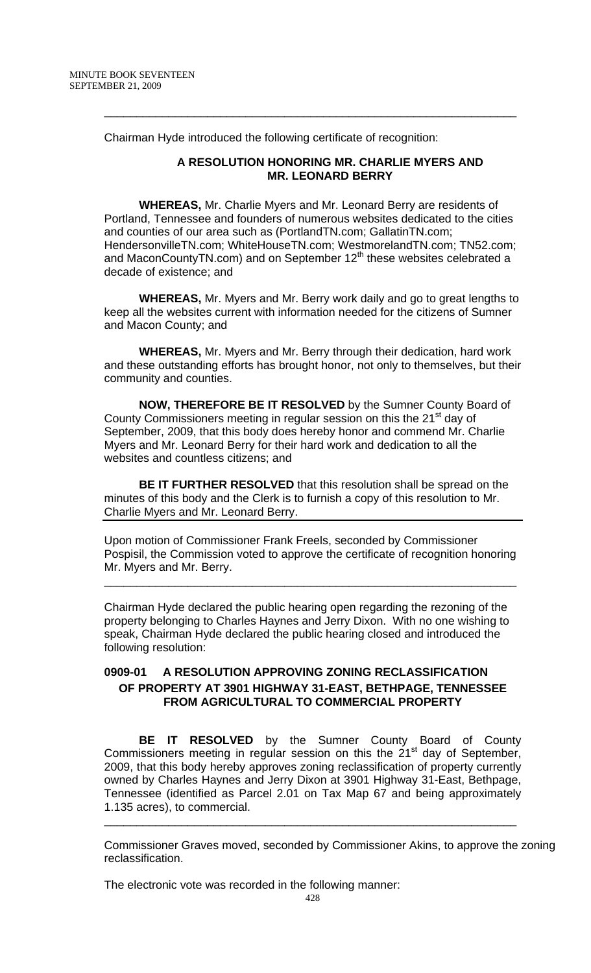Chairman Hyde introduced the following certificate of recognition:

## **A RESOLUTION HONORING MR. CHARLIE MYERS AND MR. LEONARD BERRY**

**WHEREAS,** Mr. Charlie Myers and Mr. Leonard Berry are residents of Portland, Tennessee and founders of numerous websites dedicated to the cities and counties of our area such as (PortlandTN.com; GallatinTN.com; HendersonvilleTN.com; WhiteHouseTN.com; WestmorelandTN.com; TN52.com; and MaconCountyTN.com) and on September 12<sup>th</sup> these websites celebrated a decade of existence; and

\_\_\_\_\_\_\_\_\_\_\_\_\_\_\_\_\_\_\_\_\_\_\_\_\_\_\_\_\_\_\_\_\_\_\_\_\_\_\_\_\_\_\_\_\_\_\_\_\_\_\_\_\_\_\_\_\_\_\_\_\_\_\_\_

**WHEREAS,** Mr. Myers and Mr. Berry work daily and go to great lengths to keep all the websites current with information needed for the citizens of Sumner and Macon County; and

**WHEREAS,** Mr. Myers and Mr. Berry through their dedication, hard work and these outstanding efforts has brought honor, not only to themselves, but their community and counties.

**NOW, THEREFORE BE IT RESOLVED** by the Sumner County Board of County Commissioners meeting in regular session on this the 21<sup>st</sup> day of September, 2009, that this body does hereby honor and commend Mr. Charlie Myers and Mr. Leonard Berry for their hard work and dedication to all the websites and countless citizens; and

**BE IT FURTHER RESOLVED** that this resolution shall be spread on the minutes of this body and the Clerk is to furnish a copy of this resolution to Mr. Charlie Myers and Mr. Leonard Berry.

Upon motion of Commissioner Frank Freels, seconded by Commissioner Pospisil, the Commission voted to approve the certificate of recognition honoring Mr. Myers and Mr. Berry.

\_\_\_\_\_\_\_\_\_\_\_\_\_\_\_\_\_\_\_\_\_\_\_\_\_\_\_\_\_\_\_\_\_\_\_\_\_\_\_\_\_\_\_\_\_\_\_\_\_\_\_\_\_\_\_\_\_\_\_\_\_\_\_\_

Chairman Hyde declared the public hearing open regarding the rezoning of the property belonging to Charles Haynes and Jerry Dixon. With no one wishing to speak, Chairman Hyde declared the public hearing closed and introduced the following resolution:

# **0909-01 A RESOLUTION APPROVING ZONING RECLASSIFICATION OF PROPERTY AT 3901 HIGHWAY 31-EAST, BETHPAGE, TENNESSEE FROM AGRICULTURAL TO COMMERCIAL PROPERTY**

 **BE IT RESOLVED** by the Sumner County Board of County Commissioners meeting in regular session on this the  $21<sup>st</sup>$  day of September, 2009, that this body hereby approves zoning reclassification of property currently owned by Charles Haynes and Jerry Dixon at 3901 Highway 31-East, Bethpage, Tennessee (identified as Parcel 2.01 on Tax Map 67 and being approximately 1.135 acres), to commercial.

\_\_\_\_\_\_\_\_\_\_\_\_\_\_\_\_\_\_\_\_\_\_\_\_\_\_\_\_\_\_\_\_\_\_\_\_\_\_\_\_\_\_\_\_\_\_\_\_\_\_\_\_\_\_\_\_\_\_\_\_\_\_\_\_

Commissioner Graves moved, seconded by Commissioner Akins, to approve the zoning reclassification.

The electronic vote was recorded in the following manner: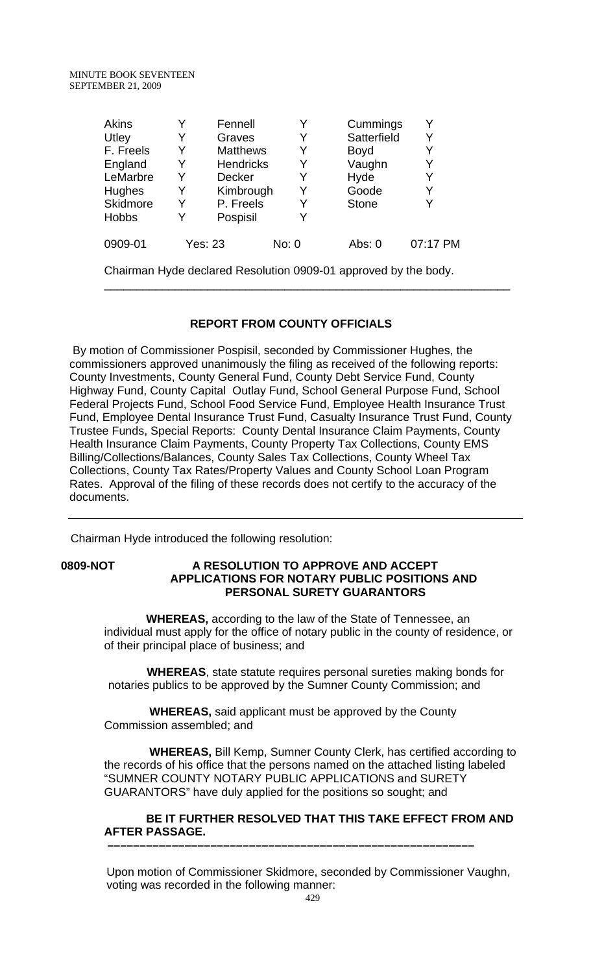| <b>Akins</b>                                                    | Y       | Fennell          | Y     | Cummings     | Y        |  |
|-----------------------------------------------------------------|---------|------------------|-------|--------------|----------|--|
| Utley                                                           | Y       | Graves           | Y     | Satterfield  | Y        |  |
| F. Freels                                                       | Y       | <b>Matthews</b>  | Y     | Boyd         | Y        |  |
| England                                                         | Y       | <b>Hendricks</b> | Y     | Vaughn       | Y        |  |
| LeMarbre                                                        | Y       | <b>Decker</b>    | Y     | Hyde         | Y        |  |
| <b>Hughes</b>                                                   | Y       | Kimbrough        | Y     | Goode        | Y        |  |
| Skidmore                                                        | Y       | P. Freels        | Y     | <b>Stone</b> | Y        |  |
| <b>Hobbs</b>                                                    | Y       | Pospisil         | Y     |              |          |  |
| 0909-01                                                         | Yes: 23 |                  | No: 0 | Abs: $0$     | 07:17 PM |  |
| Chairman Hyde declared Resolution 0909-01 approved by the body. |         |                  |       |              |          |  |

# **REPORT FROM COUNTY OFFICIALS**

 By motion of Commissioner Pospisil, seconded by Commissioner Hughes, the commissioners approved unanimously the filing as received of the following reports: County Investments, County General Fund, County Debt Service Fund, County Highway Fund, County Capital Outlay Fund, School General Purpose Fund, School Federal Projects Fund, School Food Service Fund, Employee Health Insurance Trust Fund, Employee Dental Insurance Trust Fund, Casualty Insurance Trust Fund, County Trustee Funds, Special Reports: County Dental Insurance Claim Payments, County Health Insurance Claim Payments, County Property Tax Collections, County EMS Billing/Collections/Balances, County Sales Tax Collections, County Wheel Tax Collections, County Tax Rates/Property Values and County School Loan Program Rates. Approval of the filing of these records does not certify to the accuracy of the documents.

Chairman Hyde introduced the following resolution:

### **0809-NOT A RESOLUTION TO APPROVE AND ACCEPT APPLICATIONS FOR NOTARY PUBLIC POSITIONS AND PERSONAL SURETY GUARANTORS**

 **WHEREAS,** according to the law of the State of Tennessee, an individual must apply for the office of notary public in the county of residence, or of their principal place of business; and

 **WHEREAS**, state statute requires personal sureties making bonds for notaries publics to be approved by the Sumner County Commission; and

 **WHEREAS,** said applicant must be approved by the County Commission assembled; and

 **WHEREAS,** Bill Kemp, Sumner County Clerk, has certified according to the records of his office that the persons named on the attached listing labeled "SUMNER COUNTY NOTARY PUBLIC APPLICATIONS and SURETY GUARANTORS" have duly applied for the positions so sought; and

### **BE IT FURTHER RESOLVED THAT THIS TAKE EFFECT FROM AND AFTER PASSAGE. –––––––––––––––––––––––––––––––––––––––––––––––––––––––––**

 Upon motion of Commissioner Skidmore, seconded by Commissioner Vaughn, voting was recorded in the following manner: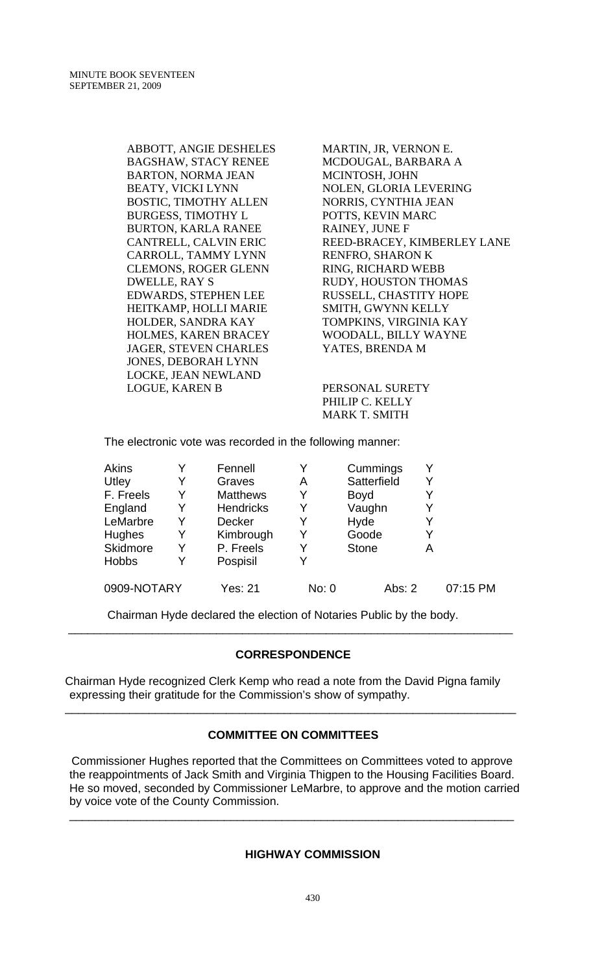ABBOTT, ANGIE DESHELES BAGSHAW, STACY RENEE BARTON, NORMA JEAN BEATY, VICKI LYNN BOSTIC, TIMOTHY ALLEN BURGESS, TIMOTHY L BURTON, KARLA RANEE CANTRELL, CALVIN ERIC CARROLL, TAMMY LYNN CLEMONS, ROGER GLENN DWELLE, RAY S EDWARDS, STEPHEN LEE HEITKAMP, HOLLI MARIE HOLDER, SANDRA KAY HOLMES, KAREN BRACEY JAGER, STEVEN CHARLES JONES, DEBORAH LYNN LOCKE, JEAN NEWLAND LOGUE, KAREN B

MARTIN, JR, VERNON E. MCDOUGAL, BARBARA A MCINTOSH, JOHN NOLEN, GLORIA LEVERING NORRIS, CYNTHIA JEAN POTTS, KEVIN MARC RAINEY, JUNE F REED-BRACEY, KIMBERLEY LANE RENFRO, SHARON K RING, RICHARD WEBB RUDY, HOUSTON THOMAS RUSSELL, CHASTITY HOPE SMITH, GWYNN KELLY TOMPKINS, VIRGINIA KAY WOODALL, BILLY WAYNE YATES, BRENDA M

PERSONAL SURETY PHILIP C. KELLY MARK T. SMITH

The electronic vote was recorded in the following manner:

| <b>Akins</b> |   | Fennell          |       | Cummings     |   |          |
|--------------|---|------------------|-------|--------------|---|----------|
| Utley        | Y | Graves           | Α     | Satterfield  | Y |          |
| F. Freels    | Y | <b>Matthews</b>  | Y     | <b>Boyd</b>  | Y |          |
| England      | Y | <b>Hendricks</b> | Y     | Vaughn       | Y |          |
| LeMarbre     | Y | <b>Decker</b>    | Y     | Hyde         | Y |          |
| Hughes       | Y | Kimbrough        | Y     | Goode        | Y |          |
| Skidmore     | Y | P. Freels        | Y     | <b>Stone</b> | А |          |
| <b>Hobbs</b> | Y | Pospisil         | Y     |              |   |          |
| 0909-NOTARY  |   | Yes: 21          | No: 0 | Abs: $2$     |   | 07:15 PM |

Chairman Hyde declared the election of Notaries Public by the body.

# **CORRESPONDENCE**

\_\_\_\_\_\_\_\_\_\_\_\_\_\_\_\_\_\_\_\_\_\_\_\_\_\_\_\_\_\_\_\_\_\_\_\_\_\_\_\_\_\_\_\_\_\_\_\_\_\_\_\_\_\_\_\_\_\_\_\_\_\_\_\_\_\_\_\_\_

Chairman Hyde recognized Clerk Kemp who read a note from the David Pigna family expressing their gratitude for the Commission's show of sympathy.

### **COMMITTEE ON COMMITTEES**

\_\_\_\_\_\_\_\_\_\_\_\_\_\_\_\_\_\_\_\_\_\_\_\_\_\_\_\_\_\_\_\_\_\_\_\_\_\_\_\_\_\_\_\_\_\_\_\_\_\_\_\_\_\_\_\_\_\_\_\_\_\_\_\_\_\_\_\_\_\_

 Commissioner Hughes reported that the Committees on Committees voted to approve the reappointments of Jack Smith and Virginia Thigpen to the Housing Facilities Board. He so moved, seconded by Commissioner LeMarbre, to approve and the motion carried by voice vote of the County Commission.

\_\_\_\_\_\_\_\_\_\_\_\_\_\_\_\_\_\_\_\_\_\_\_\_\_\_\_\_\_\_\_\_\_\_\_\_\_\_\_\_\_\_\_\_\_\_\_\_\_\_\_\_\_\_\_\_\_\_\_\_\_\_\_\_\_\_\_\_\_

# **HIGHWAY COMMISSION**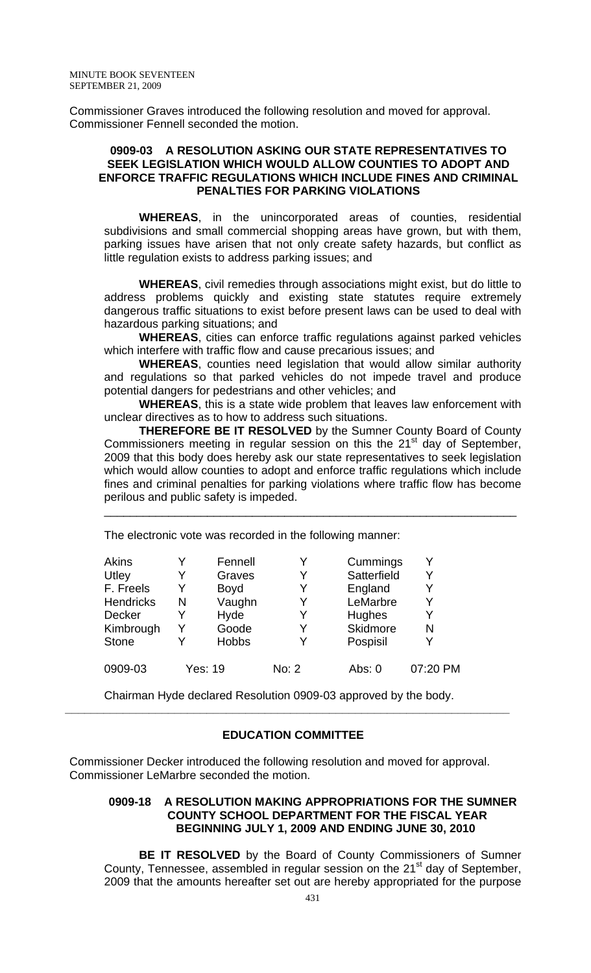Commissioner Graves introduced the following resolution and moved for approval. Commissioner Fennell seconded the motion.

# **0909-03 A RESOLUTION ASKING OUR STATE REPRESENTATIVES TO SEEK LEGISLATION WHICH WOULD ALLOW COUNTIES TO ADOPT AND ENFORCE TRAFFIC REGULATIONS WHICH INCLUDE FINES AND CRIMINAL PENALTIES FOR PARKING VIOLATIONS**

**WHEREAS**, in the unincorporated areas of counties, residential subdivisions and small commercial shopping areas have grown, but with them, parking issues have arisen that not only create safety hazards, but conflict as little regulation exists to address parking issues; and

**WHEREAS**, civil remedies through associations might exist, but do little to address problems quickly and existing state statutes require extremely dangerous traffic situations to exist before present laws can be used to deal with hazardous parking situations; and

**WHEREAS**, cities can enforce traffic regulations against parked vehicles which interfere with traffic flow and cause precarious issues; and

**WHEREAS**, counties need legislation that would allow similar authority and regulations so that parked vehicles do not impede travel and produce potential dangers for pedestrians and other vehicles; and

**WHEREAS**, this is a state wide problem that leaves law enforcement with unclear directives as to how to address such situations.

**THEREFORE BE IT RESOLVED** by the Sumner County Board of County Commissioners meeting in regular session on this the  $21<sup>st</sup>$  day of September, 2009 that this body does hereby ask our state representatives to seek legislation which would allow counties to adopt and enforce traffic regulations which include fines and criminal penalties for parking violations where traffic flow has become perilous and public safety is impeded.

\_\_\_\_\_\_\_\_\_\_\_\_\_\_\_\_\_\_\_\_\_\_\_\_\_\_\_\_\_\_\_\_\_\_\_\_\_\_\_\_\_\_\_\_\_\_\_\_\_\_\_\_\_\_\_\_\_\_\_\_\_\_\_\_

The electronic vote was recorded in the following manner:

| Akins<br>Utley<br>F. Freels<br><b>Hendricks</b><br><b>Decker</b><br>Kimbrough<br><b>Stone</b> | Y<br>Y<br>N<br>Y<br>Y | Fennell<br>Graves<br><b>Boyd</b><br>Vaughn<br>Hyde<br>Goode<br><b>Hobbs</b> | Y<br>Y<br>Y<br>Y | Cummings<br>Satterfield<br>England<br>LeMarbre<br>Hughes<br>Skidmore<br>Pospisil | Y<br>Y<br>Y<br>Y<br>N |
|-----------------------------------------------------------------------------------------------|-----------------------|-----------------------------------------------------------------------------|------------------|----------------------------------------------------------------------------------|-----------------------|
| 0909-03                                                                                       |                       | <b>Yes: 19</b>                                                              | No: 2            | Abs: 0                                                                           | 07:20 PM              |

Chairman Hyde declared Resolution 0909-03 approved by the body.

### **EDUCATION COMMITTEE**

**\_\_\_\_\_\_\_\_\_\_\_\_\_\_\_\_\_\_\_\_\_\_\_\_\_\_\_\_\_\_\_\_\_\_\_\_\_\_\_\_\_\_\_\_\_\_\_\_\_\_\_\_\_\_\_\_\_\_\_\_\_\_\_\_\_\_\_\_\_** 

Commissioner Decker introduced the following resolution and moved for approval. Commissioner LeMarbre seconded the motion.

# **0909-18 A RESOLUTION MAKING APPROPRIATIONS FOR THE SUMNER COUNTY SCHOOL DEPARTMENT FOR THE FISCAL YEAR BEGINNING JULY 1, 2009 AND ENDING JUNE 30, 2010**

**BE IT RESOLVED** by the Board of County Commissioners of Sumner County, Tennessee, assembled in regular session on the 21<sup>st</sup> day of September, 2009 that the amounts hereafter set out are hereby appropriated for the purpose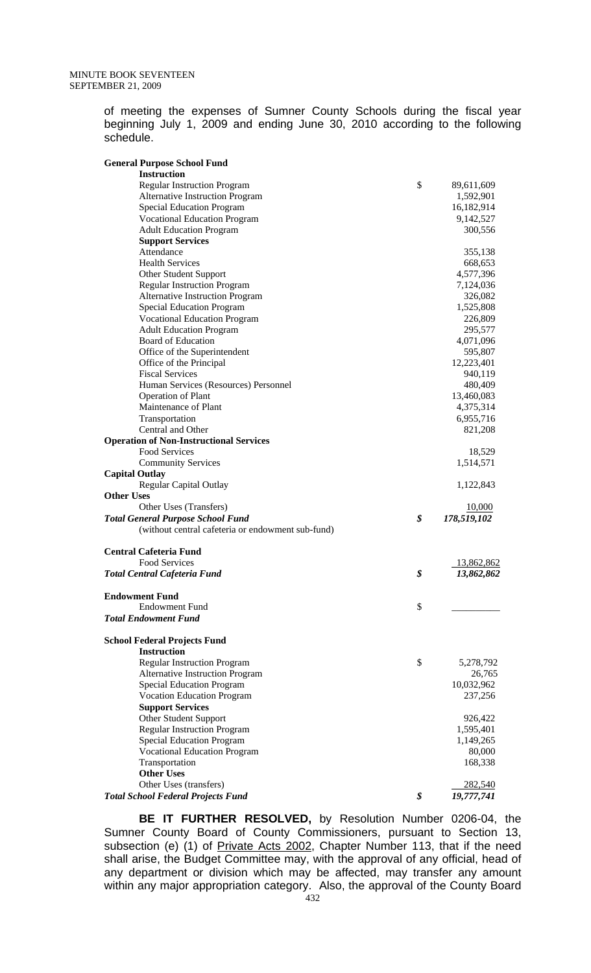of meeting the expenses of Sumner County Schools during the fiscal year beginning July 1, 2009 and ending June 30, 2010 according to the following schedule.

| <b>General Purpose School Fund</b>                |                   |
|---------------------------------------------------|-------------------|
| <b>Instruction</b>                                |                   |
| <b>Regular Instruction Program</b>                | \$<br>89,611,609  |
| <b>Alternative Instruction Program</b>            | 1,592,901         |
| <b>Special Education Program</b>                  | 16,182,914        |
| <b>Vocational Education Program</b>               | 9,142,527         |
| <b>Adult Education Program</b>                    | 300,556           |
| <b>Support Services</b>                           |                   |
| Attendance                                        | 355,138           |
| <b>Health Services</b>                            | 668,653           |
| Other Student Support                             | 4,577,396         |
| <b>Regular Instruction Program</b>                | 7,124,036         |
| Alternative Instruction Program                   | 326,082           |
| <b>Special Education Program</b>                  | 1,525,808         |
| <b>Vocational Education Program</b>               | 226,809           |
| <b>Adult Education Program</b>                    | 295,577           |
| <b>Board of Education</b>                         | 4,071,096         |
| Office of the Superintendent                      | 595,807           |
| Office of the Principal                           | 12,223,401        |
| <b>Fiscal Services</b>                            | 940,119           |
| Human Services (Resources) Personnel              | 480,409           |
| <b>Operation of Plant</b>                         | 13,460,083        |
| Maintenance of Plant                              | 4,375,314         |
| Transportation                                    | 6,955,716         |
| Central and Other                                 | 821,208           |
| <b>Operation of Non-Instructional Services</b>    |                   |
| Food Services                                     | 18,529            |
| <b>Community Services</b>                         | 1,514,571         |
| <b>Capital Outlay</b>                             |                   |
| <b>Regular Capital Outlay</b>                     | 1,122,843         |
| <b>Other Uses</b>                                 |                   |
| Other Uses (Transfers)                            | <u>10,000</u>     |
| <b>Total General Purpose School Fund</b>          | \$<br>178,519,102 |
| (without central cafeteria or endowment sub-fund) |                   |
| <b>Central Cafeteria Fund</b>                     |                   |
| <b>Food Services</b>                              | 13,862,862        |
| <b>Total Central Cafeteria Fund</b>               | \$<br>13,862,862  |
| <b>Endowment Fund</b>                             |                   |
| <b>Endowment Fund</b>                             | \$                |
| <b>Total Endowment Fund</b>                       |                   |
| <b>School Federal Projects Fund</b>               |                   |
| <b>Instruction</b>                                |                   |
| <b>Regular Instruction Program</b>                | \$<br>5,278,792   |
| Alternative Instruction Program                   | 26,765            |
| <b>Special Education Program</b>                  | 10,032,962        |
| <b>Vocation Education Program</b>                 | 237,256           |
| <b>Support Services</b>                           |                   |
| Other Student Support                             | 926,422           |
| <b>Regular Instruction Program</b>                | 1,595,401         |
| <b>Special Education Program</b>                  | 1,149,265         |
| <b>Vocational Education Program</b>               | 80,000            |
| Transportation                                    | 168,338           |
| <b>Other Uses</b>                                 |                   |
| Other Uses (transfers)                            | 282,540           |
| <b>Total School Federal Projects Fund</b>         | \$<br>19,777,741  |

**BE IT FURTHER RESOLVED,** by Resolution Number 0206-04, the Sumner County Board of County Commissioners, pursuant to Section 13, subsection (e) (1) of Private Acts 2002, Chapter Number 113, that if the need subsection (c) (1) or **Exited From Edge.** Chapter Tramber 110, that it the hose shall arise, the Budget Committee may, with the approval of any official, head of any department or division which may be affected, may transfer any amount within any major appropriation category. Also, the approval of the County Board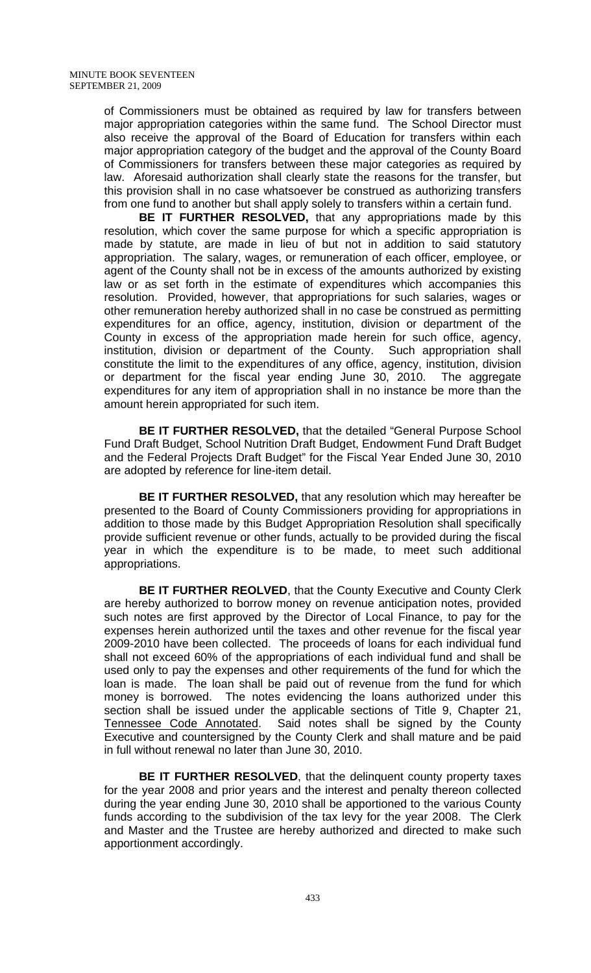of Commissioners must be obtained as required by law for transfers between major appropriation categories within the same fund. The School Director must also receive the approval of the Board of Education for transfers within each major appropriation category of the budget and the approval of the County Board of Commissioners for transfers between these major categories as required by law. Aforesaid authorization shall clearly state the reasons for the transfer, but this provision shall in no case whatsoever be construed as authorizing transfers from one fund to another but shall apply solely to transfers within a certain fund.

**BE IT FURTHER RESOLVED,** that any appropriations made by this resolution, which cover the same purpose for which a specific appropriation is made by statute, are made in lieu of but not in addition to said statutory appropriation. The salary, wages, or remuneration of each officer, employee, or agent of the County shall not be in excess of the amounts authorized by existing law or as set forth in the estimate of expenditures which accompanies this resolution. Provided, however, that appropriations for such salaries, wages or other remuneration hereby authorized shall in no case be construed as permitting expenditures for an office, agency, institution, division or department of the County in excess of the appropriation made herein for such office, agency, institution, division or department of the County. Such appropriation shall constitute the limit to the expenditures of any office, agency, institution, division or department for the fiscal year ending June 30, 2010. The aggregate expenditures for any item of appropriation shall in no instance be more than the amount herein appropriated for such item.

**BE IT FURTHER RESOLVED,** that the detailed "General Purpose School Fund Draft Budget, School Nutrition Draft Budget, Endowment Fund Draft Budget and the Federal Projects Draft Budget" for the Fiscal Year Ended June 30, 2010 are adopted by reference for line-item detail.

**BE IT FURTHER RESOLVED,** that any resolution which may hereafter be presented to the Board of County Commissioners providing for appropriations in addition to those made by this Budget Appropriation Resolution shall specifically provide sufficient revenue or other funds, actually to be provided during the fiscal year in which the expenditure is to be made, to meet such additional appropriations.

**BE IT FURTHER REOLVED**, that the County Executive and County Clerk are hereby authorized to borrow money on revenue anticipation notes, provided such notes are first approved by the Director of Local Finance, to pay for the expenses herein authorized until the taxes and other revenue for the fiscal year 2009-2010 have been collected. The proceeds of loans for each individual fund shall not exceed 60% of the appropriations of each individual fund and shall be used only to pay the expenses and other requirements of the fund for which the loan is made. The loan shall be paid out of revenue from the fund for which money is borrowed. The notes evidencing the loans authorized under this section shall be issued under the applicable sections of Title 9, Chapter 21, Tennessee Code Annotated. Said notes shall be signed by the County Executive and countersigned by the County Clerk and shall mature and be paid in full without renewal no later than June 30, 2010.

**BE IT FURTHER RESOLVED**, that the delinquent county property taxes for the year 2008 and prior years and the interest and penalty thereon collected during the year ending June 30, 2010 shall be apportioned to the various County funds according to the subdivision of the tax levy for the year 2008. The Clerk and Master and the Trustee are hereby authorized and directed to make such apportionment accordingly.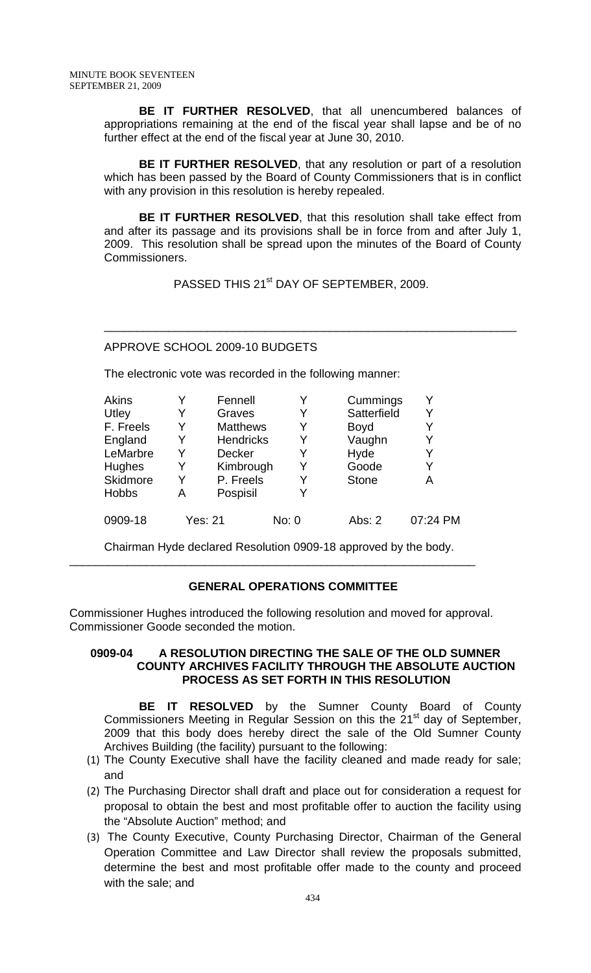**BE IT FURTHER RESOLVED**, that all unencumbered balances of appropriations remaining at the end of the fiscal year shall lapse and be of no further effect at the end of the fiscal year at June 30, 2010.

**BE IT FURTHER RESOLVED, that any resolution or part of a resolution** which has been passed by the Board of County Commissioners that is in conflict with any provision in this resolution is hereby repealed.

**BE IT FURTHER RESOLVED**, that this resolution shall take effect from and after its passage and its provisions shall be in force from and after July 1, 2009. This resolution shall be spread upon the minutes of the Board of County Commissioners.

PASSED THIS 21<sup>st</sup> DAY OF SEPTEMBER, 2009.

\_\_\_\_\_\_\_\_\_\_\_\_\_\_\_\_\_\_\_\_\_\_\_\_\_\_\_\_\_\_\_\_\_\_\_\_\_\_\_\_\_\_\_\_\_\_\_\_\_\_\_\_\_\_\_\_\_\_\_\_\_\_\_\_

# APPROVE SCHOOL 2009-10 BUDGETS

The electronic vote was recorded in the following manner:

| <b>Akins</b>    |   | Fennell          |       | Cummings     |          |
|-----------------|---|------------------|-------|--------------|----------|
| Utley           | Y | Graves           | Y     | Satterfield  | Y        |
| F. Freels       | Y | <b>Matthews</b>  |       | <b>Boyd</b>  |          |
| England         | Y | <b>Hendricks</b> | Y     | Vaughn       | Y        |
| LeMarbre        | Y | <b>Decker</b>    | Y     | Hyde         | Y        |
| <b>Hughes</b>   | Y | Kimbrough        |       | Goode        |          |
| <b>Skidmore</b> | Y | P. Freels        | Y     | <b>Stone</b> | Α        |
| <b>Hobbs</b>    | Α | Pospisil         |       |              |          |
| 0909-18         |   | <b>Yes: 21</b>   | No: 0 | Abs: $2$     | 07:24 PM |

Chairman Hyde declared Resolution 0909-18 approved by the body.

\_\_\_\_\_\_\_\_\_\_\_\_\_\_\_\_\_\_\_\_\_\_\_\_\_\_\_\_\_\_\_\_\_\_\_\_\_\_\_\_\_\_\_\_\_\_\_\_\_\_\_\_\_\_\_\_\_\_\_\_\_\_\_

# **GENERAL OPERATIONS COMMITTEE**

Commissioner Hughes introduced the following resolution and moved for approval. Commissioner Goode seconded the motion.

# **0909-04 A RESOLUTION DIRECTING THE SALE OF THE OLD SUMNER COUNTY ARCHIVES FACILITY THROUGH THE ABSOLUTE AUCTION PROCESS AS SET FORTH IN THIS RESOLUTION**

**BE IT RESOLVED** by the Sumner County Board of County Commissioners Meeting in Regular Session on this the  $21<sup>st</sup>$  day of September, 2009 that this body does hereby direct the sale of the Old Sumner County Archives Building (the facility) pursuant to the following:

- (1) The County Executive shall have the facility cleaned and made ready for sale; and
- (2) The Purchasing Director shall draft and place out for consideration a request for proposal to obtain the best and most profitable offer to auction the facility using the "Absolute Auction" method; and
- (3) The County Executive, County Purchasing Director, Chairman of the General Operation Committee and Law Director shall review the proposals submitted, determine the best and most profitable offer made to the county and proceed with the sale; and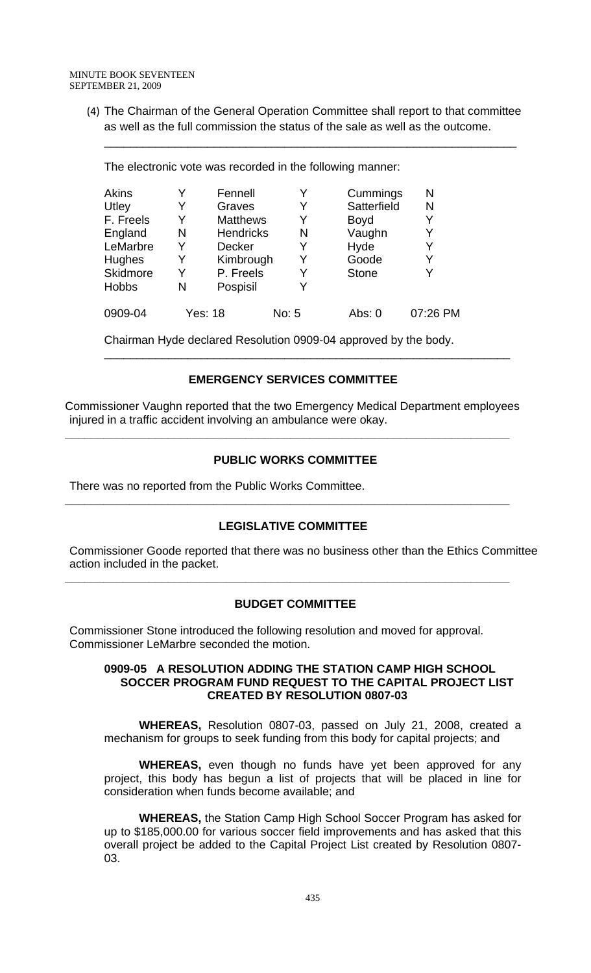(4) The Chairman of the General Operation Committee shall report to that committee as well as the full commission the status of the sale as well as the outcome.

\_\_\_\_\_\_\_\_\_\_\_\_\_\_\_\_\_\_\_\_\_\_\_\_\_\_\_\_\_\_\_\_\_\_\_\_\_\_\_\_\_\_\_\_\_\_\_\_\_\_\_\_\_\_\_\_\_\_\_\_\_\_\_\_

| Akins        | Y | Fennell          | Y     | Cummings     | N        |
|--------------|---|------------------|-------|--------------|----------|
| Utley        | Y | Graves           | Y     | Satterfield  | N        |
| F. Freels    | Y | <b>Matthews</b>  |       | <b>Boyd</b>  |          |
| England      | N | <b>Hendricks</b> | N     | Vaughn       | Y        |
| LeMarbre     | Y | Decker           | Y     | Hyde         |          |
| Hughes       | Y | Kimbrough        |       | Goode        | Y        |
| Skidmore     | Y | P. Freels        |       | <b>Stone</b> |          |
| <b>Hobbs</b> | N | Pospisil         |       |              |          |
| 0909-04      |   | Yes: 18          | No: 5 | Abs: 0       | 07:26 PM |

The electronic vote was recorded in the following manner:

Chairman Hyde declared Resolution 0909-04 approved by the body.

# **EMERGENCY SERVICES COMMITTEE**

\_\_\_\_\_\_\_\_\_\_\_\_\_\_\_\_\_\_\_\_\_\_\_\_\_\_\_\_\_\_\_\_\_\_\_\_\_\_\_\_\_\_\_\_\_\_\_\_\_\_\_\_\_\_\_\_\_\_\_\_\_\_\_

Commissioner Vaughn reported that the two Emergency Medical Department employees injured in a traffic accident involving an ambulance were okay.

**\_\_\_\_\_\_\_\_\_\_\_\_\_\_\_\_\_\_\_\_\_\_\_\_\_\_\_\_\_\_\_\_\_\_\_\_\_\_\_\_\_\_\_\_\_\_\_\_\_\_\_\_\_\_\_\_\_\_\_\_\_\_\_\_\_\_\_\_\_** 

# **PUBLIC WORKS COMMITTEE**

There was no reported from the Public Works Committee.

# **LEGISLATIVE COMMITTEE**

**\_\_\_\_\_\_\_\_\_\_\_\_\_\_\_\_\_\_\_\_\_\_\_\_\_\_\_\_\_\_\_\_\_\_\_\_\_\_\_\_\_\_\_\_\_\_\_\_\_\_\_\_\_\_\_\_\_\_\_\_\_\_\_\_\_\_\_\_\_** 

Commissioner Goode reported that there was no business other than the Ethics Committee action included in the packet.

# **BUDGET COMMITTEE**

**\_\_\_\_\_\_\_\_\_\_\_\_\_\_\_\_\_\_\_\_\_\_\_\_\_\_\_\_\_\_\_\_\_\_\_\_\_\_\_\_\_\_\_\_\_\_\_\_\_\_\_\_\_\_\_\_\_\_\_\_\_\_\_\_\_\_\_\_\_** 

Commissioner Stone introduced the following resolution and moved for approval. Commissioner LeMarbre seconded the motion.

#### **0909-05 A RESOLUTION ADDING THE STATION CAMP HIGH SCHOOL SOCCER PROGRAM FUND REQUEST TO THE CAPITAL PROJECT LIST CREATED BY RESOLUTION 0807-03**

**WHEREAS,** Resolution 0807-03, passed on July 21, 2008, created a mechanism for groups to seek funding from this body for capital projects; and

 **WHEREAS,** even though no funds have yet been approved for any project, this body has begun a list of projects that will be placed in line for consideration when funds become available; and

**WHEREAS,** the Station Camp High School Soccer Program has asked for up to \$185,000.00 for various soccer field improvements and has asked that this overall project be added to the Capital Project List created by Resolution 0807- 03.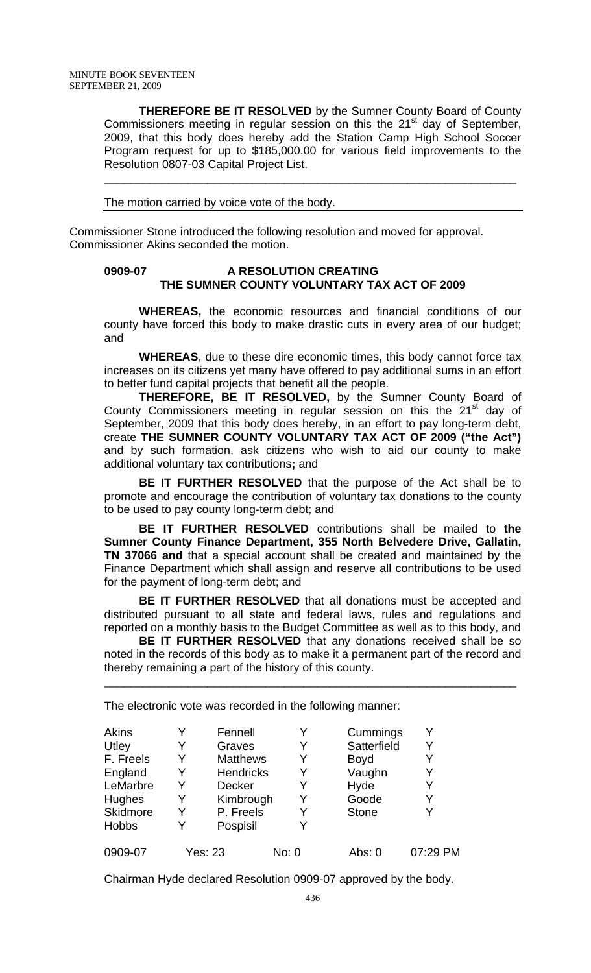**THEREFORE BE IT RESOLVED** by the Sumner County Board of County Commissioners meeting in regular session on this the  $21<sup>st</sup>$  day of September, 2009, that this body does hereby add the Station Camp High School Soccer Program request for up to \$185,000.00 for various field improvements to the Resolution 0807-03 Capital Project List.

\_\_\_\_\_\_\_\_\_\_\_\_\_\_\_\_\_\_\_\_\_\_\_\_\_\_\_\_\_\_\_\_\_\_\_\_\_\_\_\_\_\_\_\_\_\_\_\_\_\_\_\_\_\_\_\_\_\_\_\_\_\_\_\_

The motion carried by voice vote of the body.

Commissioner Stone introduced the following resolution and moved for approval. Commissioner Akins seconded the motion.

### **0909-07 A RESOLUTION CREATING THE SUMNER COUNTY VOLUNTARY TAX ACT OF 2009**

**WHEREAS,** the economic resources and financial conditions of our county have forced this body to make drastic cuts in every area of our budget; and

**WHEREAS**, due to these dire economic times**,** this body cannot force tax increases on its citizens yet many have offered to pay additional sums in an effort to better fund capital projects that benefit all the people.

 **THEREFORE, BE IT RESOLVED,** by the Sumner County Board of County Commissioners meeting in regular session on this the 21<sup>st</sup> day of September, 2009 that this body does hereby, in an effort to pay long-term debt, create **THE SUMNER COUNTY VOLUNTARY TAX ACT OF 2009 ("the Act")**  and by such formation, ask citizens who wish to aid our county to make additional voluntary tax contributions**;** and

**BE IT FURTHER RESOLVED** that the purpose of the Act shall be to promote and encourage the contribution of voluntary tax donations to the county to be used to pay county long-term debt; and

**BE IT FURTHER RESOLVED** contributions shall be mailed to **the Sumner County Finance Department, 355 North Belvedere Drive, Gallatin, TN 37066 and** that a special account shall be created and maintained by the Finance Department which shall assign and reserve all contributions to be used for the payment of long-term debt; and

**BE IT FURTHER RESOLVED** that all donations must be accepted and distributed pursuant to all state and federal laws, rules and regulations and reported on a monthly basis to the Budget Committee as well as to this body, and

**BE IT FURTHER RESOLVED** that any donations received shall be so noted in the records of this body as to make it a permanent part of the record and thereby remaining a part of the history of this county.

\_\_\_\_\_\_\_\_\_\_\_\_\_\_\_\_\_\_\_\_\_\_\_\_\_\_\_\_\_\_\_\_\_\_\_\_\_\_\_\_\_\_\_\_\_\_\_\_\_\_\_\_\_\_\_\_\_\_\_\_\_\_\_\_

The electronic vote was recorded in the following manner:

| Akins<br>Utley<br>F. Freels<br>England<br>LeMarbre<br>Hughes<br>Skidmore | Y<br>Y<br>Y<br>Y<br>Y<br>Y<br>Y | Fennell<br>Graves<br><b>Matthews</b><br><b>Hendricks</b><br>Decker<br>Kimbrough<br>P. Freels | Y<br>Y | Cummings<br>Satterfield<br><b>Boyd</b><br>Vaughn<br>Hyde<br>Goode<br><b>Stone</b> | Y<br>Y   |
|--------------------------------------------------------------------------|---------------------------------|----------------------------------------------------------------------------------------------|--------|-----------------------------------------------------------------------------------|----------|
| <b>Hobbs</b>                                                             | Y                               | Pospisil                                                                                     |        |                                                                                   |          |
| 0909-07                                                                  | Yes: 23                         |                                                                                              | No: 0  | Abs: $0$                                                                          | 07:29 PM |

Chairman Hyde declared Resolution 0909-07 approved by the body.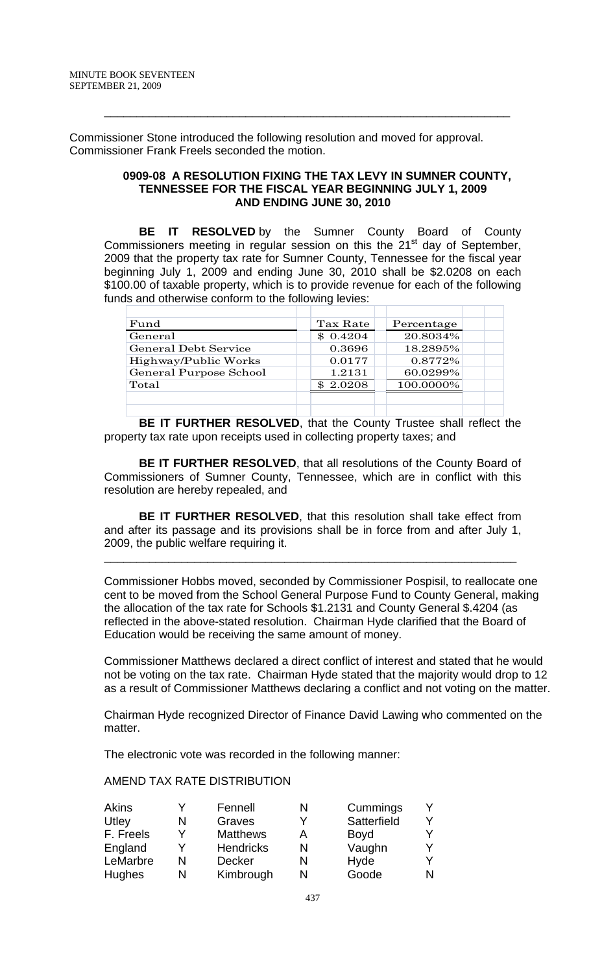Commissioner Stone introduced the following resolution and moved for approval. Commissioner Frank Freels seconded the motion.

#### **0909-08 A RESOLUTION FIXING THE TAX LEVY IN SUMNER COUNTY, TENNESSEE FOR THE FISCAL YEAR BEGINNING JULY 1, 2009 AND ENDING JUNE 30, 2010**

\_\_\_\_\_\_\_\_\_\_\_\_\_\_\_\_\_\_\_\_\_\_\_\_\_\_\_\_\_\_\_\_\_\_\_\_\_\_\_\_\_\_\_\_\_\_\_\_\_\_\_\_\_\_\_\_\_\_\_\_\_\_\_

 **BE IT RESOLVED** by the Sumner County Board of County Commissioners meeting in regular session on this the  $21<sup>st</sup>$  day of September, 2009 that the property tax rate for Sumner County, Tennessee for the fiscal year beginning July 1, 2009 and ending June 30, 2010 shall be \$2.0208 on each \$100.00 of taxable property, which is to provide revenue for each of the following funds and otherwise conform to the following levies:

| Fund                        | Tax Rate | Percentage |  |
|-----------------------------|----------|------------|--|
| General                     | \$0.4204 | 20.8034%   |  |
| <b>General Debt Service</b> | 0.3696   | 18.2895%   |  |
| Highway/Public Works        | 0.0177   | 0.8772\%   |  |
| General Purpose School      | 1.2131   | 60.0299%   |  |
| Total                       | \$2.0208 | 100.0000%  |  |
|                             |          |            |  |
|                             |          |            |  |

**BE IT FURTHER RESOLVED**, that the County Trustee shall reflect the property tax rate upon receipts used in collecting property taxes; and

**BE IT FURTHER RESOLVED**, that all resolutions of the County Board of Commissioners of Sumner County, Tennessee, which are in conflict with this resolution are hereby repealed, and

**BE IT FURTHER RESOLVED**, that this resolution shall take effect from and after its passage and its provisions shall be in force from and after July 1, 2009, the public welfare requiring it.

\_\_\_\_\_\_\_\_\_\_\_\_\_\_\_\_\_\_\_\_\_\_\_\_\_\_\_\_\_\_\_\_\_\_\_\_\_\_\_\_\_\_\_\_\_\_\_\_\_\_\_\_\_\_\_\_\_\_\_\_\_\_\_\_

Commissioner Hobbs moved, seconded by Commissioner Pospisil, to reallocate one cent to be moved from the School General Purpose Fund to County General, making the allocation of the tax rate for Schools \$1.2131 and County General \$.4204 (as reflected in the above-stated resolution. Chairman Hyde clarified that the Board of Education would be receiving the same amount of money.

Commissioner Matthews declared a direct conflict of interest and stated that he would not be voting on the tax rate. Chairman Hyde stated that the majority would drop to 12 as a result of Commissioner Matthews declaring a conflict and not voting on the matter.

Chairman Hyde recognized Director of Finance David Lawing who commented on the matter.

The electronic vote was recorded in the following manner:

# AMEND TAX RATE DISTRIBUTION

| <b>Akins</b>  |   | Fennell          | N | Cummings    |  |
|---------------|---|------------------|---|-------------|--|
| Utley         | N | Graves           |   | Satterfield |  |
| F. Freels     |   | <b>Matthews</b>  |   | <b>Boyd</b> |  |
| England       |   | <b>Hendricks</b> | N | Vaughn      |  |
| LeMarbre      | N | <b>Decker</b>    |   | Hyde        |  |
| <b>Hughes</b> | N | Kimbrough        |   | Goode       |  |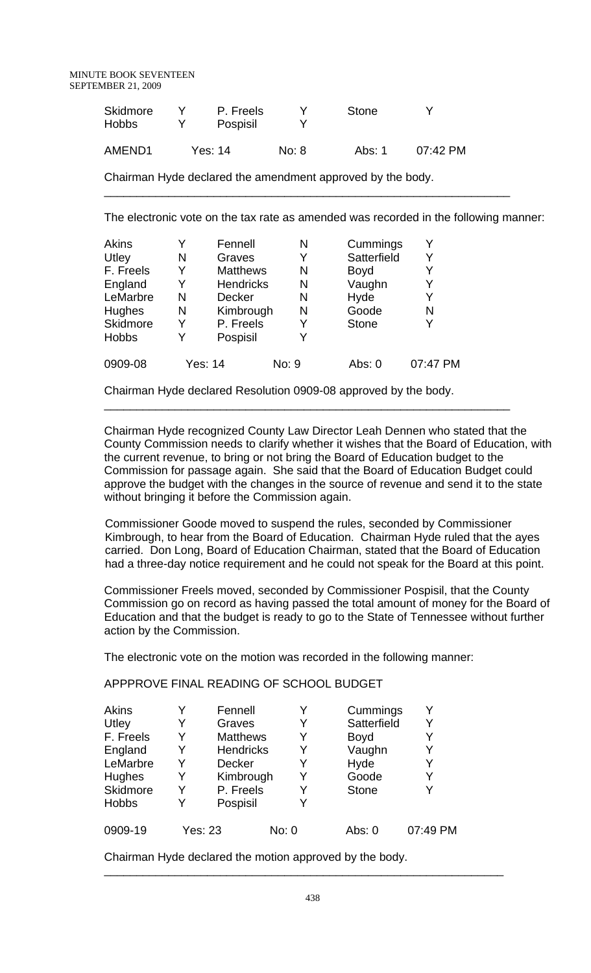| <b>Skidmore</b><br><b>Hobbs</b> | P. Freels<br>Pospisil |       | Stone  | Y                    |
|---------------------------------|-----------------------|-------|--------|----------------------|
| AMEND <sub>1</sub>              | Yes: 14               | No: 8 | Abs: 1 | $07:42 \, \text{PM}$ |

Chairman Hyde declared the amendment approved by the body.

The electronic vote on the tax rate as amended was recorded in the following manner:

\_\_\_\_\_\_\_\_\_\_\_\_\_\_\_\_\_\_\_\_\_\_\_\_\_\_\_\_\_\_\_\_\_\_\_\_\_\_\_\_\_\_\_\_\_\_\_\_\_\_\_\_\_\_\_\_\_\_\_\_\_\_\_

| <b>Akins</b> | Y | Fennell          | Ν     | Cummings     | Y        |
|--------------|---|------------------|-------|--------------|----------|
| Utley        | N | Graves           |       | Satterfield  | Y        |
| F. Freels    | Y | <b>Matthews</b>  | N     | <b>Boyd</b>  | Y        |
| England      | Y | <b>Hendricks</b> | N     | Vaughn       | Y        |
| LeMarbre     | N | <b>Decker</b>    | N     | Hyde         | Y        |
| Hughes       | N | Kimbrough        | N     | Goode        | N        |
| Skidmore     | Y | P. Freels        | Y     | <b>Stone</b> | Y        |
| <b>Hobbs</b> | Y | Pospisil         | V     |              |          |
| 0909-08      |   | Yes: 14          | No: 9 | Abs: 0       | 07:47 PM |

Chairman Hyde declared Resolution 0909-08 approved by the body.

\_\_\_\_\_\_\_\_\_\_\_\_\_\_\_\_\_\_\_\_\_\_\_\_\_\_\_\_\_\_\_\_\_\_\_\_\_\_\_\_\_\_\_\_\_\_\_\_\_\_\_\_\_\_\_\_\_\_\_\_\_\_\_

Chairman Hyde recognized County Law Director Leah Dennen who stated that the County Commission needs to clarify whether it wishes that the Board of Education, with the current revenue, to bring or not bring the Board of Education budget to the Commission for passage again. She said that the Board of Education Budget could approve the budget with the changes in the source of revenue and send it to the state without bringing it before the Commission again.

 Commissioner Goode moved to suspend the rules, seconded by Commissioner Kimbrough, to hear from the Board of Education. Chairman Hyde ruled that the ayes carried. Don Long, Board of Education Chairman, stated that the Board of Education had a three-day notice requirement and he could not speak for the Board at this point.

Commissioner Freels moved, seconded by Commissioner Pospisil, that the County Commission go on record as having passed the total amount of money for the Board of Education and that the budget is ready to go to the State of Tennessee without further action by the Commission.

The electronic vote on the motion was recorded in the following manner:

APPPROVE FINAL READING OF SCHOOL BUDGET

| Akins        | Y | Fennell          |       | Cummings     | Y        |
|--------------|---|------------------|-------|--------------|----------|
| Utley        | Y | Graves           | Y     | Satterfield  | Y        |
| F. Freels    | Y | <b>Matthews</b>  | Y     | <b>Boyd</b>  | Y        |
| England      | Y | <b>Hendricks</b> | Y     | Vaughn       | Y        |
| LeMarbre     | Y | <b>Decker</b>    | Y     | Hyde         | Y        |
| Hughes       | Y | Kimbrough        | Y     | Goode        | Y        |
| Skidmore     | Y | P. Freels        | Y     | <b>Stone</b> | Y        |
| <b>Hobbs</b> | Y | Pospisil         | Y     |              |          |
| 0909-19      |   | Yes: 23          | No: 0 | Abs: $0$     | 07:49 PM |

Chairman Hyde declared the motion approved by the body.

\_\_\_\_\_\_\_\_\_\_\_\_\_\_\_\_\_\_\_\_\_\_\_\_\_\_\_\_\_\_\_\_\_\_\_\_\_\_\_\_\_\_\_\_\_\_\_\_\_\_\_\_\_\_\_\_\_\_\_\_\_\_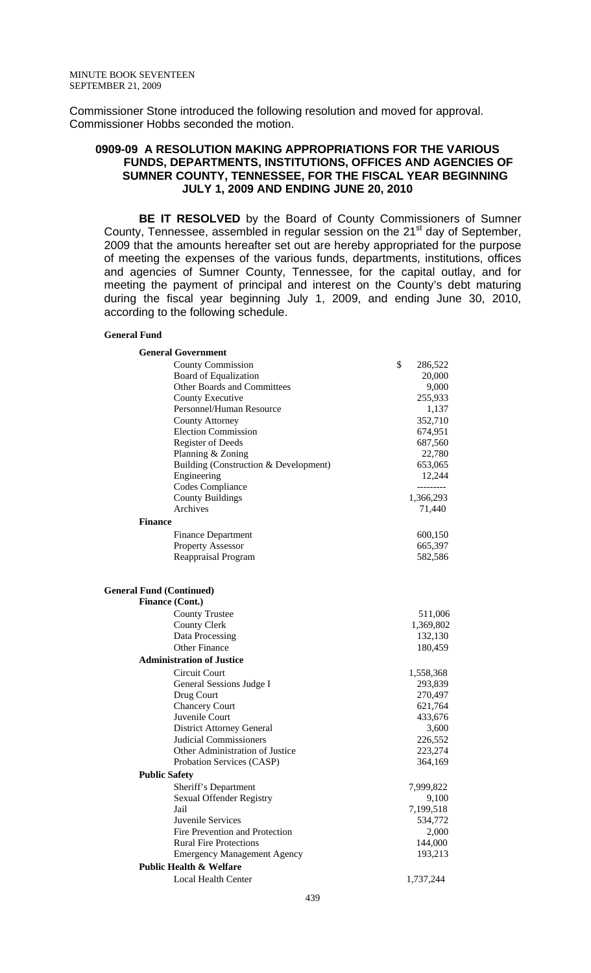Commissioner Stone introduced the following resolution and moved for approval. Commissioner Hobbs seconded the motion.

### **0909-09 A RESOLUTION MAKING APPROPRIATIONS FOR THE VARIOUS FUNDS, DEPARTMENTS, INSTITUTIONS, OFFICES AND AGENCIES OF SUMNER COUNTY, TENNESSEE, FOR THE FISCAL YEAR BEGINNING JULY 1, 2009 AND ENDING JUNE 20, 2010**

 **BE IT RESOLVED** by the Board of County Commissioners of Sumner County, Tennessee, assembled in regular session on the 21<sup>st</sup> day of September, 2009 that the amounts hereafter set out are hereby appropriated for the purpose of meeting the expenses of the various funds, departments, institutions, offices and agencies of Sumner County, Tennessee, for the capital outlay, and for meeting the payment of principal and interest on the County's debt maturing during the fiscal year beginning July 1, 2009, and ending June 30, 2010, according to the following schedule.

#### **General Fund**

| <b>General Government</b>                                 |                    |
|-----------------------------------------------------------|--------------------|
| <b>County Commission</b>                                  | \$<br>286,522      |
| <b>Board of Equalization</b>                              | 20,000             |
| Other Boards and Committees                               | 9,000              |
| <b>County Executive</b>                                   | 255,933            |
| Personnel/Human Resource                                  | 1,137              |
| <b>County Attorney</b>                                    | 352,710            |
| <b>Election Commission</b>                                | 674,951            |
| <b>Register of Deeds</b>                                  | 687,560            |
| Planning & Zoning                                         | 22,780             |
| Building (Construction & Development)                     | 653,065            |
| Engineering                                               | 12,244             |
| Codes Compliance                                          | ---------          |
| <b>County Buildings</b>                                   | 1,366,293          |
| Archives                                                  | 71,440             |
| <b>Finance</b>                                            |                    |
| <b>Finance Department</b>                                 | 600,150            |
| <b>Property Assessor</b>                                  | 665,397            |
| Reappraisal Program                                       | 582,586            |
| <b>General Fund (Continued)</b><br><b>Finance (Cont.)</b> |                    |
| <b>County Trustee</b>                                     | 511,006            |
| <b>County Clerk</b>                                       | 1,369,802          |
| Data Processing                                           | 132,130            |
| <b>Other Finance</b>                                      | 180,459            |
| <b>Administration of Justice</b>                          |                    |
|                                                           |                    |
| Circuit Court                                             | 1,558,368          |
| General Sessions Judge I                                  | 293,839            |
| Drug Court                                                | 270,497            |
| <b>Chancery Court</b><br>Juvenile Court                   | 621,764<br>433,676 |
| <b>District Attorney General</b>                          | 3,600              |
| <b>Judicial Commissioners</b>                             | 226,552            |
| Other Administration of Justice                           | 223,274            |
| Probation Services (CASP)                                 | 364,169            |
| <b>Public Safety</b>                                      |                    |
| Sheriff's Department                                      | 7,999,822          |
| Sexual Offender Registry                                  | 9,100              |
| Jail                                                      | 7,199,518          |
| Juvenile Services                                         | 534,772            |
| Fire Prevention and Protection                            | 2,000              |
| <b>Rural Fire Protections</b>                             | 144,000            |
| <b>Emergency Management Agency</b>                        | 193,213            |
| <b>Public Health &amp; Welfare</b>                        |                    |
|                                                           |                    |
| <b>Local Health Center</b>                                | 1,737,244          |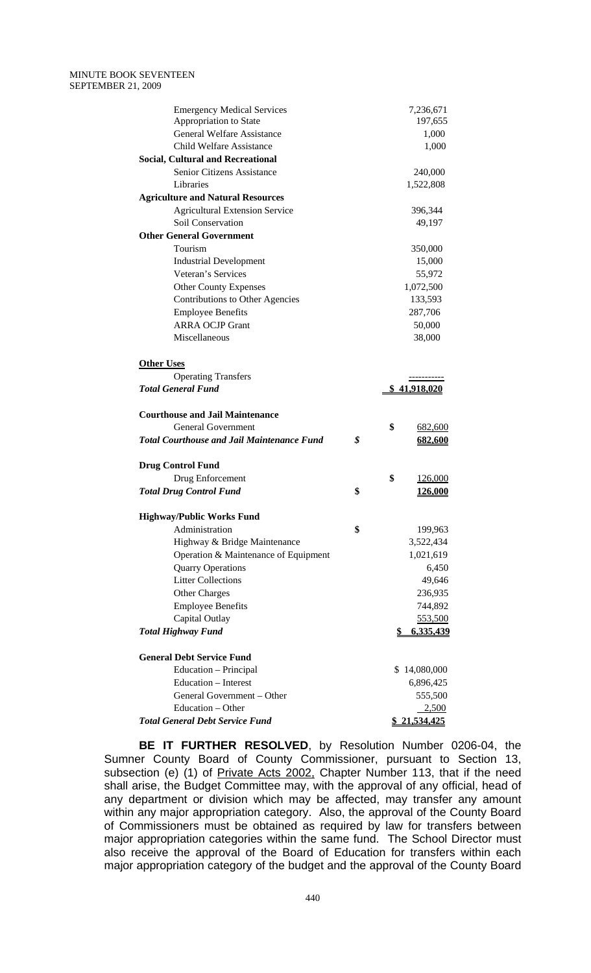#### MINUTE BOOK SEVENTEEN SEPTEMBER 21, 2009

| <b>Emergency Medical Services</b>                 | 7,236,671           |
|---------------------------------------------------|---------------------|
| Appropriation to State                            | 197,655             |
| <b>General Welfare Assistance</b>                 | 1,000               |
| <b>Child Welfare Assistance</b>                   | 1,000               |
| <b>Social, Cultural and Recreational</b>          |                     |
| Senior Citizens Assistance                        | 240,000             |
| Libraries                                         | 1,522,808           |
| <b>Agriculture and Natural Resources</b>          |                     |
| <b>Agricultural Extension Service</b>             | 396,344             |
| Soil Conservation                                 | 49,197              |
| <b>Other General Government</b>                   |                     |
| Tourism                                           | 350,000             |
| <b>Industrial Development</b>                     | 15,000              |
| Veteran's Services                                | 55,972              |
| <b>Other County Expenses</b>                      | 1,072,500           |
| <b>Contributions to Other Agencies</b>            | 133,593             |
| <b>Employee Benefits</b>                          | 287,706             |
| <b>ARRA OCJP Grant</b>                            | 50,000              |
| Miscellaneous                                     | 38,000              |
| <b>Other Uses</b>                                 |                     |
| <b>Operating Transfers</b>                        |                     |
| <b>Total General Fund</b>                         | <u>\$41,918,020</u> |
| <b>Courthouse and Jail Maintenance</b>            |                     |
| <b>General Government</b>                         | \$<br>682,600       |
| <b>Total Courthouse and Jail Maintenance Fund</b> | \$<br>682,600       |
| <b>Drug Control Fund</b>                          |                     |
| Drug Enforcement                                  | \$<br>126,000       |
| <b>Total Drug Control Fund</b>                    | \$<br>126,000       |
|                                                   |                     |
| <b>Highway/Public Works Fund</b>                  |                     |
| Administration                                    | \$<br>199,963       |
| Highway & Bridge Maintenance                      | 3,522,434           |
| Operation & Maintenance of Equipment              | 1,021,619           |
| <b>Quarry Operations</b>                          | 6,450               |
| <b>Litter Collections</b>                         | 49,646              |
| Other Charges                                     | 236,935             |
| <b>Employee Benefits</b>                          | 744,892             |
| Capital Outlay                                    | 553,500             |
| <b>Total Highway Fund</b>                         | 6,335,439<br>S      |
| <b>General Debt Service Fund</b>                  |                     |
| Education - Principal                             | \$14,080,000        |
| Education – Interest                              | 6,896,425           |
| General Government – Other                        | 555,500             |
| Education - Other                                 | 2,500               |
| <b>Total General Debt Service Fund</b>            | \$21,534,425        |

**BE IT FURTHER RESOLVED**, by Resolution Number 0206-04, the Sumner County Board of County Commissioner, pursuant to Section 13, subsection (e) (1) of Private Acts 2002, Chapter Number 113, that if the need shall arise, the Budget Committee may, with the approval of any official, head of any department or division which may be affected, may transfer any amount within any major appropriation category. Also, the approval of the County Board of Commissioners must be obtained as required by law for transfers between major appropriation categories within the same fund. The School Director must also receive the approval of the Board of Education for transfers within each major appropriation category of the budget and the approval of the County Board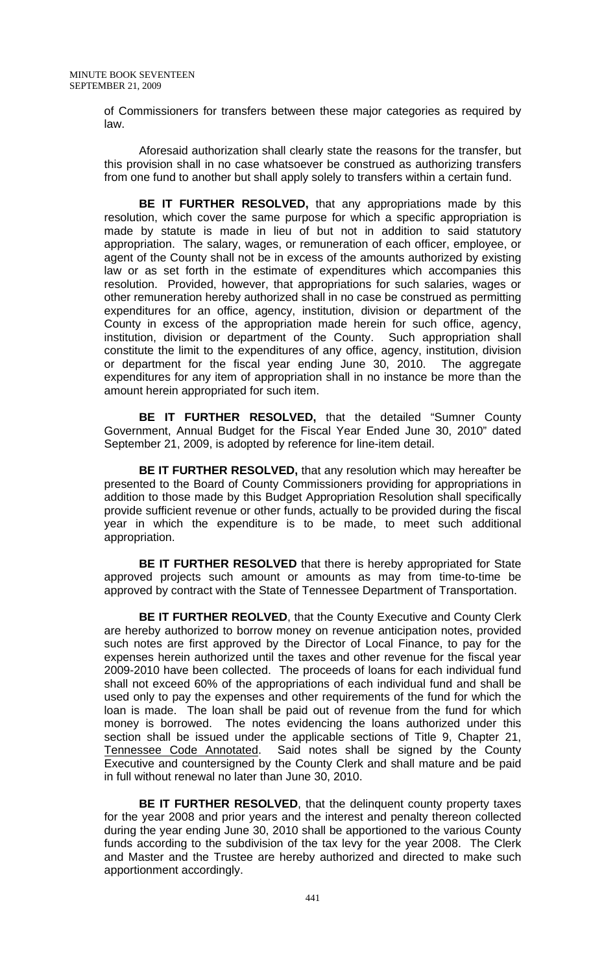of Commissioners for transfers between these major categories as required by law.

Aforesaid authorization shall clearly state the reasons for the transfer, but this provision shall in no case whatsoever be construed as authorizing transfers from one fund to another but shall apply solely to transfers within a certain fund.

**BE IT FURTHER RESOLVED,** that any appropriations made by this resolution, which cover the same purpose for which a specific appropriation is made by statute is made in lieu of but not in addition to said statutory appropriation. The salary, wages, or remuneration of each officer, employee, or agent of the County shall not be in excess of the amounts authorized by existing law or as set forth in the estimate of expenditures which accompanies this resolution. Provided, however, that appropriations for such salaries, wages or other remuneration hereby authorized shall in no case be construed as permitting expenditures for an office, agency, institution, division or department of the County in excess of the appropriation made herein for such office, agency, institution, division or department of the County. Such appropriation shall constitute the limit to the expenditures of any office, agency, institution, division or department for the fiscal year ending June 30, 2010. The aggregate expenditures for any item of appropriation shall in no instance be more than the amount herein appropriated for such item.

**BE IT FURTHER RESOLVED,** that the detailed "Sumner County Government, Annual Budget for the Fiscal Year Ended June 30, 2010" dated September 21, 2009, is adopted by reference for line-item detail.

**BE IT FURTHER RESOLVED,** that any resolution which may hereafter be presented to the Board of County Commissioners providing for appropriations in addition to those made by this Budget Appropriation Resolution shall specifically provide sufficient revenue or other funds, actually to be provided during the fiscal year in which the expenditure is to be made, to meet such additional appropriation.

**BE IT FURTHER RESOLVED** that there is hereby appropriated for State approved projects such amount or amounts as may from time-to-time be approved by contract with the State of Tennessee Department of Transportation.

**BE IT FURTHER REOLVED**, that the County Executive and County Clerk are hereby authorized to borrow money on revenue anticipation notes, provided such notes are first approved by the Director of Local Finance, to pay for the expenses herein authorized until the taxes and other revenue for the fiscal year 2009-2010 have been collected. The proceeds of loans for each individual fund shall not exceed 60% of the appropriations of each individual fund and shall be used only to pay the expenses and other requirements of the fund for which the loan is made. The loan shall be paid out of revenue from the fund for which money is borrowed. The notes evidencing the loans authorized under this section shall be issued under the applicable sections of Title 9, Chapter 21, Tennessee Code Annotated. Said notes shall be signed by the County Executive and countersigned by the County Clerk and shall mature and be paid in full without renewal no later than June 30, 2010.

**BE IT FURTHER RESOLVED, that the delinquent county property taxes** for the year 2008 and prior years and the interest and penalty thereon collected during the year ending June 30, 2010 shall be apportioned to the various County funds according to the subdivision of the tax levy for the year 2008. The Clerk and Master and the Trustee are hereby authorized and directed to make such apportionment accordingly.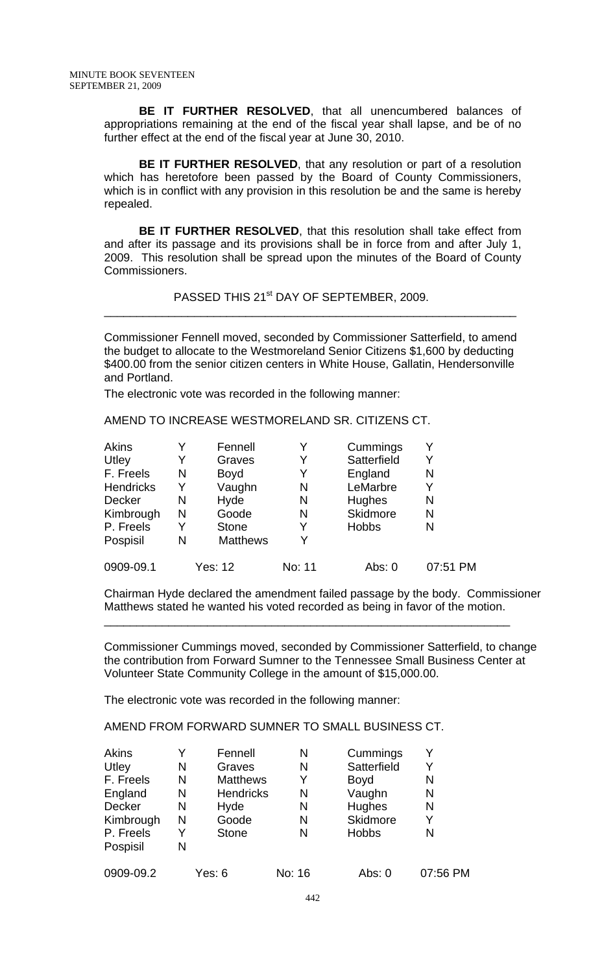**BE IT FURTHER RESOLVED**, that all unencumbered balances of appropriations remaining at the end of the fiscal year shall lapse, and be of no further effect at the end of the fiscal year at June 30, 2010.

**BE IT FURTHER RESOLVED, that any resolution or part of a resolution** which has heretofore been passed by the Board of County Commissioners, which is in conflict with any provision in this resolution be and the same is hereby repealed.

**BE IT FURTHER RESOLVED**, that this resolution shall take effect from and after its passage and its provisions shall be in force from and after July 1, 2009. This resolution shall be spread upon the minutes of the Board of County Commissioners.

PASSED THIS 21<sup>st</sup> DAY OF SEPTEMBER, 2009.

Commissioner Fennell moved, seconded by Commissioner Satterfield, to amend the budget to allocate to the Westmoreland Senior Citizens \$1,600 by deducting \$400.00 from the senior citizen centers in White House, Gallatin, Hendersonville and Portland.

\_\_\_\_\_\_\_\_\_\_\_\_\_\_\_\_\_\_\_\_\_\_\_\_\_\_\_\_\_\_\_\_\_\_\_\_\_\_\_\_\_\_\_\_\_\_\_\_\_\_\_\_\_\_\_\_\_\_\_\_\_\_\_\_

The electronic vote was recorded in the following manner:

AMEND TO INCREASE WESTMORELAND SR. CITIZENS CT.

| Akins            |   | Fennell         | Y      | Cummings        |          |
|------------------|---|-----------------|--------|-----------------|----------|
| Utley            | Y | Graves          | Y      | Satterfield     | Y        |
| F. Freels        | N | <b>Boyd</b>     | Y      | England         | N        |
| <b>Hendricks</b> | Y | Vaughn          | N      | LeMarbre        |          |
| Decker           | N | Hyde            | N      | <b>Hughes</b>   | N        |
| Kimbrough        | N | Goode           | N      | <b>Skidmore</b> | N        |
| P. Freels        | Y | <b>Stone</b>    | Y      | <b>Hobbs</b>    | N        |
| Pospisil         | N | <b>Matthews</b> | V      |                 |          |
| 0909-09.1        |   | <b>Yes: 12</b>  | No: 11 | Abs: 0          | 07:51 PM |

Chairman Hyde declared the amendment failed passage by the body. Commissioner Matthews stated he wanted his voted recorded as being in favor of the motion.

\_\_\_\_\_\_\_\_\_\_\_\_\_\_\_\_\_\_\_\_\_\_\_\_\_\_\_\_\_\_\_\_\_\_\_\_\_\_\_\_\_\_\_\_\_\_\_\_\_\_\_\_\_\_\_\_\_\_\_\_\_\_\_

Commissioner Cummings moved, seconded by Commissioner Satterfield, to change the contribution from Forward Sumner to the Tennessee Small Business Center at Volunteer State Community College in the amount of \$15,000.00.

The electronic vote was recorded in the following manner:

AMEND FROM FORWARD SUMNER TO SMALL BUSINESS CT.

| Akins         | Y | Fennell          | N      | Cummings     | Y        |
|---------------|---|------------------|--------|--------------|----------|
| Utley         | N | Graves           | Ν      | Satterfield  | Y        |
| F. Freels     | N | <b>Matthews</b>  | Y      | <b>Boyd</b>  | N        |
| England       | N | <b>Hendricks</b> | N      | Vaughn       | N        |
| <b>Decker</b> | N | Hyde             | N      | Hughes       | N        |
| Kimbrough     | N | Goode            | N      | Skidmore     | Y        |
| P. Freels     | Y | <b>Stone</b>     | N      | <b>Hobbs</b> | N        |
| Pospisil      | N |                  |        |              |          |
| 0909-09.2     |   | Yes: 6           | No: 16 | Abs: $0$     | 07:56 PM |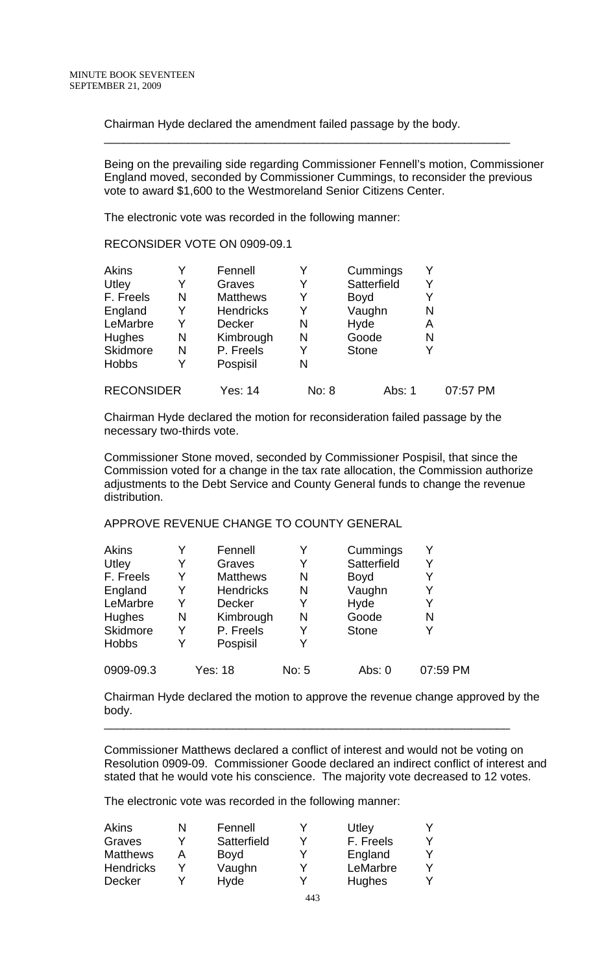Chairman Hyde declared the amendment failed passage by the body.

Being on the prevailing side regarding Commissioner Fennell's motion, Commissioner England moved, seconded by Commissioner Cummings, to reconsider the previous vote to award \$1,600 to the Westmoreland Senior Citizens Center.

\_\_\_\_\_\_\_\_\_\_\_\_\_\_\_\_\_\_\_\_\_\_\_\_\_\_\_\_\_\_\_\_\_\_\_\_\_\_\_\_\_\_\_\_\_\_\_\_\_\_\_\_\_\_\_\_\_\_\_\_\_\_\_

The electronic vote was recorded in the following manner:

RECONSIDER VOTE ON 0909-09.1

| <b>Akins</b>      |   | Fennell          |       | Cummings     | Y |          |
|-------------------|---|------------------|-------|--------------|---|----------|
| Utley             | Y | Graves           | Y     | Satterfield  | Y |          |
| F. Freels         | N | <b>Matthews</b>  | Y     | <b>Boyd</b>  | Y |          |
| England           | Y | <b>Hendricks</b> | Y     | Vaughn       | N |          |
| LeMarbre          | Y | Decker           | N     | Hyde         | Α |          |
| Hughes            | N | Kimbrough        | N     | Goode        | N |          |
| Skidmore          | N | P. Freels        | Y     | <b>Stone</b> | Y |          |
| <b>Hobbs</b>      |   | Pospisil         | N     |              |   |          |
| <b>RECONSIDER</b> |   | Yes: 14          | No: 8 | Abs: 1       |   | 07:57 PM |

Chairman Hyde declared the motion for reconsideration failed passage by the necessary two-thirds vote.

Commissioner Stone moved, seconded by Commissioner Pospisil, that since the Commission voted for a change in the tax rate allocation, the Commission authorize adjustments to the Debt Service and County General funds to change the revenue distribution.

# APPROVE REVENUE CHANGE TO COUNTY GENERAL

| Akins        |   | Fennell          | Y     | Cummings     | Y        |
|--------------|---|------------------|-------|--------------|----------|
| Utley        | Y | Graves           | Y     | Satterfield  | Y        |
| F. Freels    | Y | <b>Matthews</b>  | N     | <b>Boyd</b>  | Y        |
| England      | Y | <b>Hendricks</b> | N     | Vaughn       | Y        |
| LeMarbre     | Y | <b>Decker</b>    | Y     | Hyde         | Y        |
| Hughes       | N | Kimbrough        | N     | Goode        | N        |
| Skidmore     | Y | P. Freels        | Y     | <b>Stone</b> | Y        |
| <b>Hobbs</b> | Y | Pospisil         | Y     |              |          |
| 0909-09.3    |   | <b>Yes: 18</b>   | No: 5 | Abs: $0$     | 07:59 PM |

Chairman Hyde declared the motion to approve the revenue change approved by the body.

\_\_\_\_\_\_\_\_\_\_\_\_\_\_\_\_\_\_\_\_\_\_\_\_\_\_\_\_\_\_\_\_\_\_\_\_\_\_\_\_\_\_\_\_\_\_\_\_\_\_\_\_\_\_\_\_\_\_\_\_\_\_\_

Commissioner Matthews declared a conflict of interest and would not be voting on Resolution 0909-09. Commissioner Goode declared an indirect conflict of interest and stated that he would vote his conscience. The majority vote decreased to 12 votes.

The electronic vote was recorded in the following manner:

| Akins            | Fennell     | Utley     |  |
|------------------|-------------|-----------|--|
| Graves           | Satterfield | F. Freels |  |
| <b>Matthews</b>  | <b>Boyd</b> | England   |  |
| <b>Hendricks</b> | Vaughn      | LeMarbre  |  |
| Decker           | Hyde        | Hughes    |  |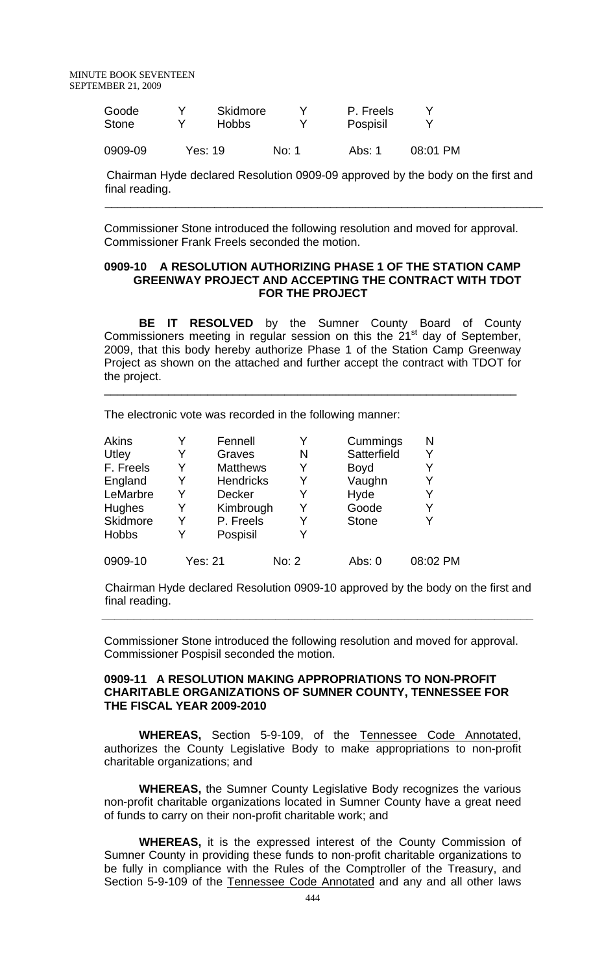MINUTE BOOK SEVENTEEN SEPTEMBER 21, 2009

| Goode        | <b>Skidmore</b> |       | P. Freels |          |
|--------------|-----------------|-------|-----------|----------|
| <b>Stone</b> | Hobbs.          |       | Pospisil  |          |
| 0909-09      | Yes: 19         | No: 1 | Abs: 1    | 08:01 PM |

 Chairman Hyde declared Resolution 0909-09 approved by the body on the first and final reading.

Commissioner Stone introduced the following resolution and moved for approval. Commissioner Frank Freels seconded the motion.

 $\overline{\phantom{a}}$  ,  $\overline{\phantom{a}}$  ,  $\overline{\phantom{a}}$  ,  $\overline{\phantom{a}}$  ,  $\overline{\phantom{a}}$  ,  $\overline{\phantom{a}}$  ,  $\overline{\phantom{a}}$  ,  $\overline{\phantom{a}}$  ,  $\overline{\phantom{a}}$  ,  $\overline{\phantom{a}}$  ,  $\overline{\phantom{a}}$  ,  $\overline{\phantom{a}}$  ,  $\overline{\phantom{a}}$  ,  $\overline{\phantom{a}}$  ,  $\overline{\phantom{a}}$  ,  $\overline{\phantom{a}}$ 

#### **0909-10 A RESOLUTION AUTHORIZING PHASE 1 OF THE STATION CAMP GREENWAY PROJECT AND ACCEPTING THE CONTRACT WITH TDOT FOR THE PROJECT**

**BE IT RESOLVED** by the Sumner County Board of County Commissioners meeting in regular session on this the  $21<sup>st</sup>$  day of September, 2009, that this body hereby authorize Phase 1 of the Station Camp Greenway Project as shown on the attached and further accept the contract with TDOT for the project.

\_\_\_\_\_\_\_\_\_\_\_\_\_\_\_\_\_\_\_\_\_\_\_\_\_\_\_\_\_\_\_\_\_\_\_\_\_\_\_\_\_\_\_\_\_\_\_\_\_\_\_\_\_\_\_\_\_\_\_\_\_\_\_\_

The electronic vote was recorded in the following manner:

| Akins        | Y | Fennell          |       | Cummings     | N        |
|--------------|---|------------------|-------|--------------|----------|
| Utley        | Y | Graves           | N     | Satterfield  | Y        |
| F. Freels    | Y | <b>Matthews</b>  | Y     | <b>Boyd</b>  | Y        |
| England      | Y | <b>Hendricks</b> |       | Vaughn       | Y        |
| LeMarbre     | Y | <b>Decker</b>    |       | Hyde         | Y        |
| Hughes       | Y | Kimbrough        | Y     | Goode        | Y        |
| Skidmore     | Y | P. Freels        | Y     | <b>Stone</b> | Y        |
| <b>Hobbs</b> | Y | Pospisil         | Y     |              |          |
| 0909-10      |   | Yes: 21          | No: 2 | Abs: 0       | 08:02 PM |

 Chairman Hyde declared Resolution 0909-10 approved by the body on the first and final reading.

Commissioner Stone introduced the following resolution and moved for approval. Commissioner Pospisil seconded the motion.

**\_\_\_\_\_\_\_\_\_\_\_\_\_\_\_\_\_\_\_\_\_\_\_\_\_\_\_\_\_\_\_\_\_\_\_\_\_\_\_\_\_\_\_\_\_\_\_\_\_\_\_\_\_\_\_\_\_\_\_\_\_\_\_\_\_\_\_** 

#### **0909-11 A RESOLUTION MAKING APPROPRIATIONS TO NON-PROFIT CHARITABLE ORGANIZATIONS OF SUMNER COUNTY, TENNESSEE FOR THE FISCAL YEAR 2009-2010**

 **WHEREAS,** Section 5-9-109, of the Tennessee Code Annotated, authorizes the County Legislative Body to make appropriations to non-profit charitable organizations; and

**WHEREAS,** the Sumner County Legislative Body recognizes the various non-profit charitable organizations located in Sumner County have a great need of funds to carry on their non-profit charitable work; and

**WHEREAS,** it is the expressed interest of the County Commission of Sumner County in providing these funds to non-profit charitable organizations to be fully in compliance with the Rules of the Comptroller of the Treasury, and Section 5-9-109 of the Tennessee Code Annotated and any and all other laws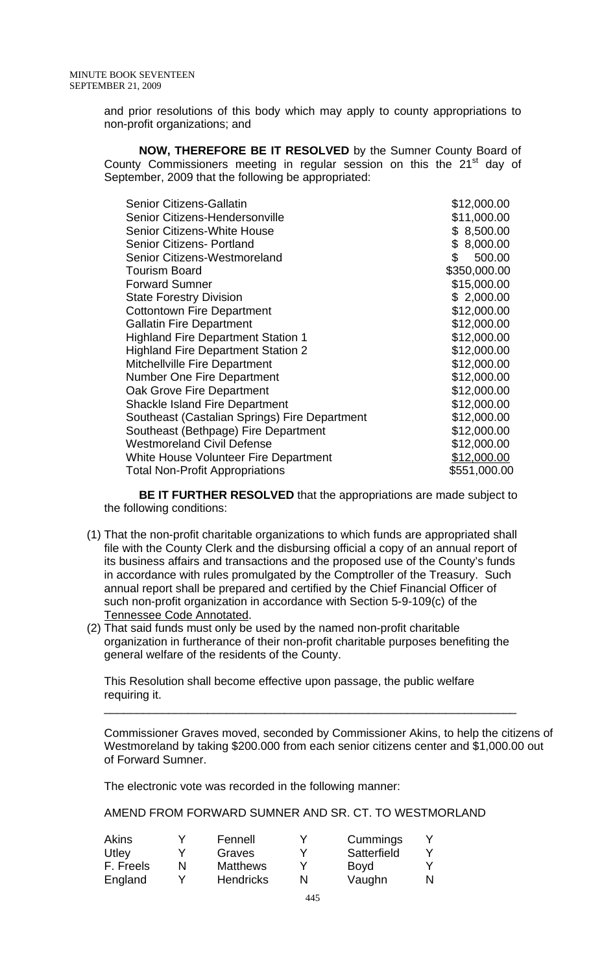and prior resolutions of this body which may apply to county appropriations to non-profit organizations; and

**NOW, THEREFORE BE IT RESOLVED** by the Sumner County Board of County Commissioners meeting in regular session on this the  $21<sup>st</sup>$  day of September, 2009 that the following be appropriated:

| <b>Senior Citizens-Gallatin</b>               | \$12,000.00  |
|-----------------------------------------------|--------------|
| Senior Citizens-Hendersonville                | \$11,000.00  |
| <b>Senior Citizens-White House</b>            | \$8,500.00   |
| <b>Senior Citizens- Portland</b>              | \$8,000.00   |
| Senior Citizens-Westmoreland                  | \$<br>500.00 |
| <b>Tourism Board</b>                          | \$350,000.00 |
| <b>Forward Sumner</b>                         | \$15,000.00  |
| <b>State Forestry Division</b>                | \$2,000.00   |
| <b>Cottontown Fire Department</b>             | \$12,000.00  |
| <b>Gallatin Fire Department</b>               | \$12,000.00  |
| <b>Highland Fire Department Station 1</b>     | \$12,000.00  |
| <b>Highland Fire Department Station 2</b>     | \$12,000.00  |
| Mitchellville Fire Department                 | \$12,000.00  |
| <b>Number One Fire Department</b>             | \$12,000.00  |
| Oak Grove Fire Department                     | \$12,000.00  |
| <b>Shackle Island Fire Department</b>         | \$12,000.00  |
| Southeast (Castalian Springs) Fire Department | \$12,000.00  |
| Southeast (Bethpage) Fire Department          | \$12,000.00  |
| <b>Westmoreland Civil Defense</b>             | \$12,000.00  |
| White House Volunteer Fire Department         | \$12,000.00  |
| <b>Total Non-Profit Appropriations</b>        | \$551,000.00 |

**BE IT FURTHER RESOLVED** that the appropriations are made subject to the following conditions:

- (1) That the non-profit charitable organizations to which funds are appropriated shall file with the County Clerk and the disbursing official a copy of an annual report of its business affairs and transactions and the proposed use of the County's funds in accordance with rules promulgated by the Comptroller of the Treasury. Such annual report shall be prepared and certified by the Chief Financial Officer of such non-profit organization in accordance with Section 5-9-109(c) of the Tennessee Code Annotated.
- (2) That said funds must only be used by the named non-profit charitable organization in furtherance of their non-profit charitable purposes benefiting the general welfare of the residents of the County.

This Resolution shall become effective upon passage, the public welfare requiring it.

\_\_\_\_\_\_\_\_\_\_\_\_\_\_\_\_\_\_\_\_\_\_\_\_\_\_\_\_\_\_\_\_\_\_\_\_\_\_\_\_\_\_\_\_\_\_\_\_\_\_\_\_\_\_\_\_\_\_\_\_\_\_\_\_

Commissioner Graves moved, seconded by Commissioner Akins, to help the citizens of Westmoreland by taking \$200.000 from each senior citizens center and \$1,000.00 out of Forward Sumner.

The electronic vote was recorded in the following manner:

AMEND FROM FORWARD SUMNER AND SR. CT. TO WESTMORLAND

| Akins     |   | Fennell          | Cummings    |   |
|-----------|---|------------------|-------------|---|
| Utley     |   | Graves           | Satterfield |   |
| F. Freels | N | <b>Matthews</b>  | <b>Boyd</b> |   |
| England   |   | <b>Hendricks</b> | Vaughn      | N |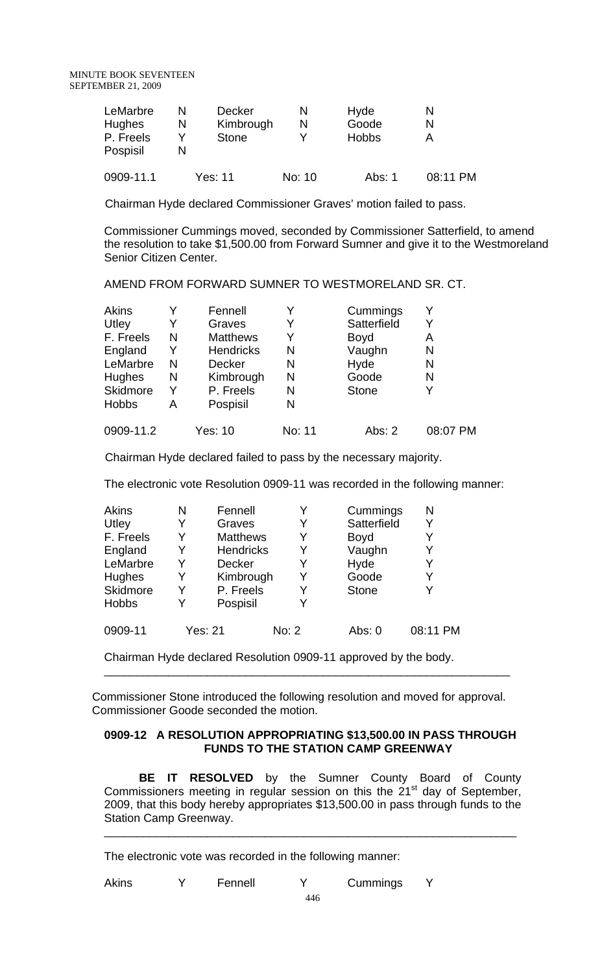| LeMarbre      |   | <b>Decker</b> |        | Hyde         |          |
|---------------|---|---------------|--------|--------------|----------|
| <b>Hughes</b> | N | Kimbrough     |        | Goode        |          |
| P. Freels     |   | <b>Stone</b>  |        | <b>Hobbs</b> |          |
| Pospisil      |   |               |        |              |          |
| 0909-11.1     |   | Yes: 11       | No: 10 | Abs: 1       | 08:11 PM |

Chairman Hyde declared Commissioner Graves' motion failed to pass.

Commissioner Cummings moved, seconded by Commissioner Satterfield, to amend the resolution to take \$1,500.00 from Forward Sumner and give it to the Westmoreland Senior Citizen Center.

AMEND FROM FORWARD SUMNER TO WESTMORELAND SR. CT.

| Akins        |   | Fennell          |        | Cummings     |          |
|--------------|---|------------------|--------|--------------|----------|
| Utley        | Y | Graves           |        | Satterfield  |          |
| F. Freels    | N | <b>Matthews</b>  | Y      | <b>Boyd</b>  | A        |
| England      | Y | <b>Hendricks</b> | N      | Vaughn       | N        |
| LeMarbre     | N | <b>Decker</b>    | N      | Hyde         | N        |
| Hughes       | N | Kimbrough        | N      | Goode        | N        |
| Skidmore     | Y | P. Freels        | N      | <b>Stone</b> |          |
| <b>Hobbs</b> | Α | Pospisil         | N      |              |          |
| 0909-11.2    |   | Yes: 10          | No: 11 | Abs: 2       | 08:07 PM |

Chairman Hyde declared failed to pass by the necessary majority.

The electronic vote Resolution 0909-11 was recorded in the following manner:

| <b>Akins</b>  | N | Fennell          |       | Cummings     | N        |
|---------------|---|------------------|-------|--------------|----------|
| Utley         | Y | Graves           | Y     | Satterfield  | Y        |
| F. Freels     | Y | <b>Matthews</b>  |       | <b>Boyd</b>  | Y        |
| England       | Y | <b>Hendricks</b> | Y     | Vaughn       | Y        |
| LeMarbre      | Y | <b>Decker</b>    | Y     | Hyde         | Y        |
| <b>Hughes</b> | Y | Kimbrough        | Y     | Goode        | Y        |
| Skidmore      | Y | P. Freels        | Y     | <b>Stone</b> | Y        |
| <b>Hobbs</b>  | Y | Pospisil         | Y     |              |          |
| 0909-11       |   | <b>Yes: 21</b>   | No: 2 | Abs: 0       | 08:11 PM |

Chairman Hyde declared Resolution 0909-11 approved by the body.

 Commissioner Stone introduced the following resolution and moved for approval. Commissioner Goode seconded the motion.

\_\_\_\_\_\_\_\_\_\_\_\_\_\_\_\_\_\_\_\_\_\_\_\_\_\_\_\_\_\_\_\_\_\_\_\_\_\_\_\_\_\_\_\_\_\_\_\_\_\_\_\_\_\_\_\_\_\_\_\_\_\_\_

# **0909-12 A RESOLUTION APPROPRIATING \$13,500.00 IN PASS THROUGH FUNDS TO THE STATION CAMP GREENWAY**

**BE IT RESOLVED** by the Sumner County Board of County Commissioners meeting in regular session on this the 21<sup>st</sup> day of September, 2009, that this body hereby appropriates \$13,500.00 in pass through funds to the Station Camp Greenway. \_\_\_\_\_\_\_\_\_\_\_\_\_\_\_\_\_\_\_\_\_\_\_\_\_\_\_\_\_\_\_\_\_\_\_\_\_\_\_\_\_\_\_\_\_\_\_\_\_\_\_\_\_\_\_\_\_\_\_\_\_\_\_\_

The electronic vote was recorded in the following manner:

Akins Y Fennell Y Cummings Y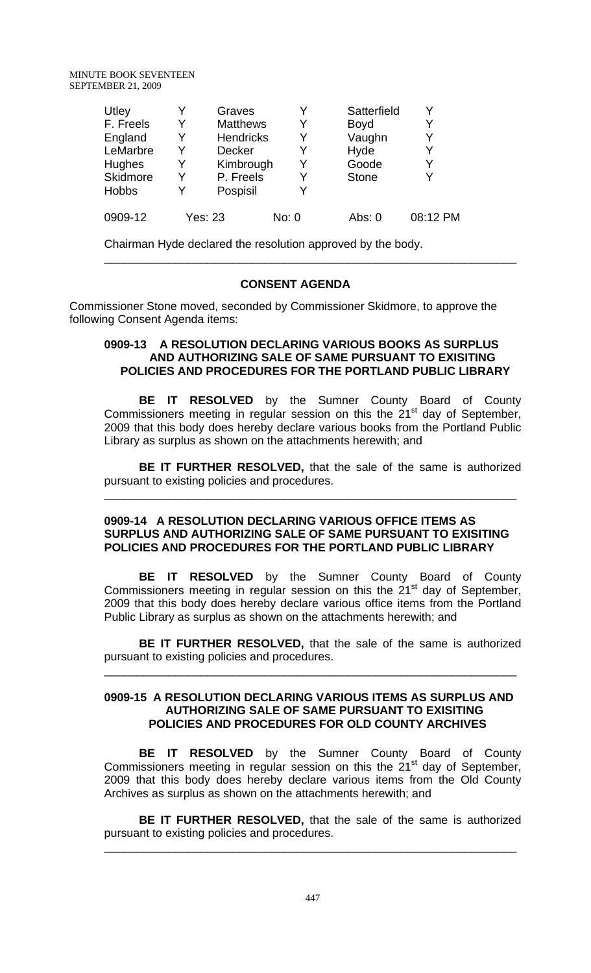| Utley        |   | Graves           |       | Satterfield  | v        |
|--------------|---|------------------|-------|--------------|----------|
| F. Freels    | Y | <b>Matthews</b>  |       | <b>Boyd</b>  | Y        |
| England      | Y | <b>Hendricks</b> | Y     | Vaughn       | Y        |
| LeMarbre     | Y | <b>Decker</b>    |       | Hyde         | Y        |
| Hughes       | Y | Kimbrough        | Y     | Goode        | Y        |
| Skidmore     | Y | P. Freels        | Y     | <b>Stone</b> | V        |
| <b>Hobbs</b> | Y | Pospisil         | V     |              |          |
| 0909-12      |   | <b>Yes: 23</b>   | No: 0 | Abs: $0$     | 08:12 PM |

Chairman Hyde declared the resolution approved by the body.

# **CONSENT AGENDA**

\_\_\_\_\_\_\_\_\_\_\_\_\_\_\_\_\_\_\_\_\_\_\_\_\_\_\_\_\_\_\_\_\_\_\_\_\_\_\_\_\_\_\_\_\_\_\_\_\_\_\_\_\_\_\_\_\_\_\_\_\_\_\_\_

Commissioner Stone moved, seconded by Commissioner Skidmore, to approve the following Consent Agenda items:

# **0909-13 A RESOLUTION DECLARING VARIOUS BOOKS AS SURPLUS AND AUTHORIZING SALE OF SAME PURSUANT TO EXISITING POLICIES AND PROCEDURES FOR THE PORTLAND PUBLIC LIBRARY**

 **BE IT RESOLVED** by the Sumner County Board of County Commissioners meeting in regular session on this the  $21<sup>st</sup>$  day of September, 2009 that this body does hereby declare various books from the Portland Public Library as surplus as shown on the attachments herewith; and

**BE IT FURTHER RESOLVED,** that the sale of the same is authorized pursuant to existing policies and procedures.

\_\_\_\_\_\_\_\_\_\_\_\_\_\_\_\_\_\_\_\_\_\_\_\_\_\_\_\_\_\_\_\_\_\_\_\_\_\_\_\_\_\_\_\_\_\_\_\_\_\_\_\_\_\_\_\_\_\_\_\_\_\_\_\_

### **0909-14 A RESOLUTION DECLARING VARIOUS OFFICE ITEMS AS SURPLUS AND AUTHORIZING SALE OF SAME PURSUANT TO EXISITING POLICIES AND PROCEDURES FOR THE PORTLAND PUBLIC LIBRARY**

 **BE IT RESOLVED** by the Sumner County Board of County Commissioners meeting in regular session on this the  $21<sup>st</sup>$  day of September, 2009 that this body does hereby declare various office items from the Portland Public Library as surplus as shown on the attachments herewith; and

**BE IT FURTHER RESOLVED,** that the sale of the same is authorized pursuant to existing policies and procedures.

\_\_\_\_\_\_\_\_\_\_\_\_\_\_\_\_\_\_\_\_\_\_\_\_\_\_\_\_\_\_\_\_\_\_\_\_\_\_\_\_\_\_\_\_\_\_\_\_\_\_\_\_\_\_\_\_\_\_\_\_\_\_\_\_

### **0909-15 A RESOLUTION DECLARING VARIOUS ITEMS AS SURPLUS AND AUTHORIZING SALE OF SAME PURSUANT TO EXISITING POLICIES AND PROCEDURES FOR OLD COUNTY ARCHIVES**

 **BE IT RESOLVED** by the Sumner County Board of County Commissioners meeting in regular session on this the  $21<sup>st</sup>$  day of September, 2009 that this body does hereby declare various items from the Old County Archives as surplus as shown on the attachments herewith; and

**BE IT FURTHER RESOLVED,** that the sale of the same is authorized pursuant to existing policies and procedures.

\_\_\_\_\_\_\_\_\_\_\_\_\_\_\_\_\_\_\_\_\_\_\_\_\_\_\_\_\_\_\_\_\_\_\_\_\_\_\_\_\_\_\_\_\_\_\_\_\_\_\_\_\_\_\_\_\_\_\_\_\_\_\_\_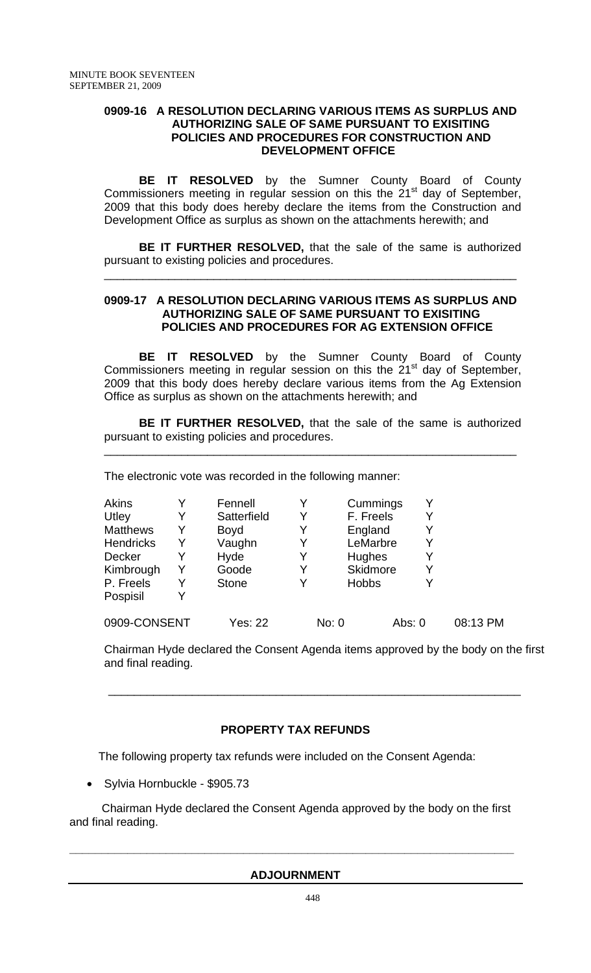# **0909-16 A RESOLUTION DECLARING VARIOUS ITEMS AS SURPLUS AND AUTHORIZING SALE OF SAME PURSUANT TO EXISITING POLICIES AND PROCEDURES FOR CONSTRUCTION AND DEVELOPMENT OFFICE**

 **BE IT RESOLVED** by the Sumner County Board of County Commissioners meeting in regular session on this the  $21<sup>st</sup>$  day of September, 2009 that this body does hereby declare the items from the Construction and Development Office as surplus as shown on the attachments herewith; and

**BE IT FURTHER RESOLVED,** that the sale of the same is authorized pursuant to existing policies and procedures.

\_\_\_\_\_\_\_\_\_\_\_\_\_\_\_\_\_\_\_\_\_\_\_\_\_\_\_\_\_\_\_\_\_\_\_\_\_\_\_\_\_\_\_\_\_\_\_\_\_\_\_\_\_\_\_\_\_\_\_\_\_\_\_\_

# **0909-17 A RESOLUTION DECLARING VARIOUS ITEMS AS SURPLUS AND AUTHORIZING SALE OF SAME PURSUANT TO EXISITING POLICIES AND PROCEDURES FOR AG EXTENSION OFFICE**

 **BE IT RESOLVED** by the Sumner County Board of County Commissioners meeting in regular session on this the 21<sup>st</sup> day of September, 2009 that this body does hereby declare various items from the Ag Extension Office as surplus as shown on the attachments herewith; and

**BE IT FURTHER RESOLVED,** that the sale of the same is authorized pursuant to existing policies and procedures.

\_\_\_\_\_\_\_\_\_\_\_\_\_\_\_\_\_\_\_\_\_\_\_\_\_\_\_\_\_\_\_\_\_\_\_\_\_\_\_\_\_\_\_\_\_\_\_\_\_\_\_\_\_\_\_\_\_\_\_\_\_\_\_\_

The electronic vote was recorded in the following manner:

| <b>Akins</b>     | Y | Fennell      |   | Cummings        | Y |          |
|------------------|---|--------------|---|-----------------|---|----------|
| Utley            | Y | Satterfield  | Y | F. Freels       | Y |          |
| <b>Matthews</b>  | Y | <b>Boyd</b>  |   | England         |   |          |
| <b>Hendricks</b> | Y | Vaughn       |   | LeMarbre        | Y |          |
| Decker           |   | Hyde         |   | <b>Hughes</b>   | Y |          |
| Kimbrough        | Y | Goode        | Y | <b>Skidmore</b> | Y |          |
| P. Freels        | Y | <b>Stone</b> |   | <b>Hobbs</b>    |   |          |
| Pospisil         | Y |              |   |                 |   |          |
| 0909-CONSENT     |   | Yes: 22      |   | No: 0<br>Abs: 0 |   | 08:13 PM |

Chairman Hyde declared the Consent Agenda items approved by the body on the first and final reading.

# **PROPERTY TAX REFUNDS**

 $\frac{1}{\sqrt{2}}$  ,  $\frac{1}{\sqrt{2}}$  ,  $\frac{1}{\sqrt{2}}$  ,  $\frac{1}{\sqrt{2}}$  ,  $\frac{1}{\sqrt{2}}$  ,  $\frac{1}{\sqrt{2}}$  ,  $\frac{1}{\sqrt{2}}$  ,  $\frac{1}{\sqrt{2}}$  ,  $\frac{1}{\sqrt{2}}$  ,  $\frac{1}{\sqrt{2}}$  ,  $\frac{1}{\sqrt{2}}$  ,  $\frac{1}{\sqrt{2}}$  ,  $\frac{1}{\sqrt{2}}$  ,  $\frac{1}{\sqrt{2}}$  ,  $\frac{1}{\sqrt{2}}$ 

The following property tax refunds were included on the Consent Agenda:

• Sylvia Hornbuckle - \$905.73

 Chairman Hyde declared the Consent Agenda approved by the body on the first and final reading.

### **ADJOURNMENT**

**\_\_\_\_\_\_\_\_\_\_\_\_\_\_\_\_\_\_\_\_\_\_\_\_\_\_\_\_\_\_\_\_\_\_\_\_\_\_\_\_\_\_\_\_\_\_\_\_\_\_\_\_\_\_\_\_\_\_\_\_\_\_\_\_\_\_\_\_\_**